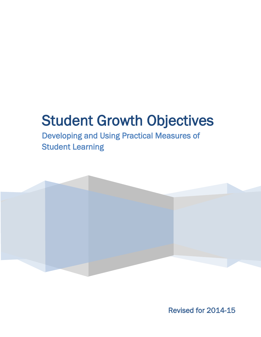# Student Growth Objectives

Developing and Using Practical Measures of Student Learning



Revised for 2014-15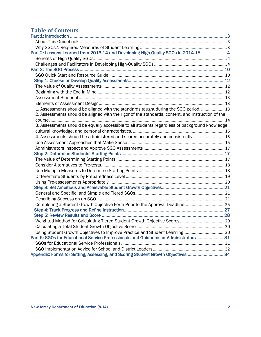# **Table of Contents**

| Part 2: Lessons Learned from 2013-14 and Developing High-Quality SGOs in 2014-15 4                |  |
|---------------------------------------------------------------------------------------------------|--|
|                                                                                                   |  |
|                                                                                                   |  |
|                                                                                                   |  |
|                                                                                                   |  |
|                                                                                                   |  |
|                                                                                                   |  |
|                                                                                                   |  |
|                                                                                                   |  |
|                                                                                                   |  |
| 1. Assessments should be aligned with the standards taught during the SGO period 13               |  |
| 2. Assessments should be aligned with the rigor of the standards, content, and instruction of the |  |
|                                                                                                   |  |
| 3. Assessments should be equally accessible to all students regardless of background knowledge,   |  |
|                                                                                                   |  |
| 4. Assessments should be administered and scored accurately and consistently 15                   |  |
|                                                                                                   |  |
|                                                                                                   |  |
|                                                                                                   |  |
|                                                                                                   |  |
|                                                                                                   |  |
|                                                                                                   |  |
|                                                                                                   |  |
|                                                                                                   |  |
|                                                                                                   |  |
|                                                                                                   |  |
|                                                                                                   |  |
| Completing a Student Growth Objective Form Prior to the Approval Deadline25                       |  |
|                                                                                                   |  |
|                                                                                                   |  |
|                                                                                                   |  |
|                                                                                                   |  |
| Using Student Growth Objectives to Improve Practice and Student Learning30                        |  |
| Part 5: SGOs for Educational Service Professionals and Guidance for Administrators 31             |  |
|                                                                                                   |  |
|                                                                                                   |  |
| Appendix: Forms for Setting, Assessing, and Scoring Student Growth Objectives  34                 |  |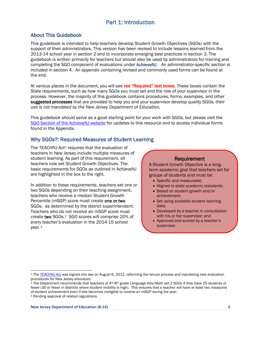# Part 1: Introduction

## <span id="page-2-1"></span><span id="page-2-0"></span>About This Guidebook

This guidebook is intended to help teachers develop Student Growth Objectives (SGOs) with the support of their administrators. This version has been revised to include lessons learned from the 2013-14 school year in section 2 and to incorporate emerging best practices in section 3. The guidebook is written primarily for teachers but should also be used by administrators for training and completing the SGO component of evaluations under AchieveNJ. An administrator-specific section is included in section 4. An appendix containing revised and commonly used forms can be found at the end.

At various places in the document, you will see red "Required" text boxes. These boxes contain the State requirements, such as how many SGOs you must set and the role of your supervisor in the process. However, the majority of this guidebook contains procedures, forms, examples, and other suggested processes that are provided to help you and your supervisor develop quality SGOs; *their use is not mandated by the New Jersey Department of Education.*

This guidebook should serve as a good starting point for your work with SGOs, but please visit the [SGO Section of the AchieveNJ website](http://www.state.nj.us/education/AchieveNJ/teacher/objectives.shtml) for updates to this resource and to access individual forms found in the Appendix.

## <span id="page-2-2"></span>Why SGOs?: Required Measures of Student Learning

The *TEACHNJ Act<sup>[1](#page-2-3)</sup>* requires that the evaluation of teachers in New Jersey include multiple measures of student learning. As part of this requirement, all teachers now set Student Growth Objectives. The basic requirements for SGOs as outlined in AchieveNJ are highlighted in the box to the right.

In addition to these requirements, teachers set one or two SGOs depending on their teaching assignment; teachers who receive a median Student Growth Percentile (mSGP) score must create one or two SGOs, as determined by the district superintendent. Teachers who do not receive an mSGP score must create two SGOs.[2](#page-2-4) SGO scores will comprise 20% of every teacher's evaluation in the 2014-15 school year.[3](#page-2-5)

#### Requirement

A Student Growth Objective is a longterm academic goal that teachers set for groups of students and must be:

- Specific and measurable;
- Aligned to state academic standards;
- Based on student growth and/or achievement;
- Set using available student learning data;
- Developed by a teacher in consultation with his or her supervisor; and
- Approved and scored by a teacher's supervisor.

 $\overline{\phantom{a}}$ 

<span id="page-2-3"></span><sup>1</sup> The *[TEACHNJ Act](http://www.njleg.state.nj.us/2012/Bills/PL12/26_.PDF)* was signed into law on August 6, 2012, reforming the tenure process and mandating new evaluation procedures for New Jersey educators.

<span id="page-2-5"></span><span id="page-2-4"></span><sup>&</sup>lt;sup>2</sup> The Department recommends that teachers of 4<sup>th</sup>-8<sup>th</sup> grade Language Arts/Math set 2 SGOs if they have 25 students or fewer (30 or fewer in districts where student mobility is high). This ensures that a teacher will have at least two measures of student achievement even if she becomes ineligible to receive an mSGP during the year. <sup>3</sup> Pending approval of related regulations.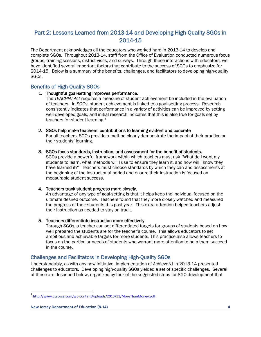# <span id="page-3-0"></span>Part 2: Lessons Learned from 2013-14 and Developing High-Quality SGOs in 2014-15

The Department acknowledges all the educators who worked hard in 2013-14 to develop and complete SGOs. Throughout 2013-14, staff from the Office of Evaluation conducted numerous focus groups, training sessions, district visits, and surveys. Through these interactions with educators, we have identified several important factors that contribute to the success of SGOs to emphasize for 2014-15. Below is a summary of the benefits, challenges, and facilitators to developing high-quality SGOs.

## <span id="page-3-1"></span>Benefits of High-Quality SGOs

#### 1. Thoughtful goal-setting improves performance.

The *TEACHNJ Act* requires a measure of student achievement be included in the evaluation of teachers. In SGOs, student achievement is linked to a goal-setting process. Research consistently indicates that performance in a variety of activities can be improved by setting well-developed goals, and initial research indicates that this is also true for goals set by teachers for student learning.<sup>[4](#page-3-3)</sup>

#### 2. SGOs help make teachers' contributions to learning evident and concrete

For all teachers, SGOs provide a method clearly demonstrate the impact of their practice on their students' learning.

#### 3. SGOs focus standards, instruction, and assessment for the benefit of students.

SGOs provide a powerful framework within which teachers must ask "What do I want my students to learn, what methods will I use to ensure they learn it, and how will I know they have learned it?" Teachers must choose standards by which they can and assessments at the beginning of the instructional period and ensure their instruction is focused on measurable student success.

## 4. Teachers track student progress more closely.

An advantage of any type of goal-setting is that it helps keep the individual focused on the ultimate desired outcome. Teachers found that they more closely watched and measured the progress of their students this past year. This extra attention helped teachers adjust their instruction as needed to stay on track.

## 5. Teachers differentiate instruction more effectively.

Through SGOs, a teacher can set differentiated targets for groups of students based on how well prepared the students are for the teacher's course. This allows educators to set ambitious and achievable targets for more students. This practice also allows teachers to focus on the particular needs of students who warrant more attention to help them succeed in the course.

## <span id="page-3-2"></span>Challenges and Facilitators in Developing High-Quality SGOs

Understandably, as with any new initiative, implementation of AchieveNJ in 2013-14 presented challenges to educators. Developing high-quality SGOs yielded a set of specific challenges. Several of these are described below, organized by four of the suggested steps for SGO development that

<span id="page-3-3"></span> <sup>4</sup> <http://www.ctacusa.com/wp-content/uploads/2013/11/MoreThanMoney.pdf>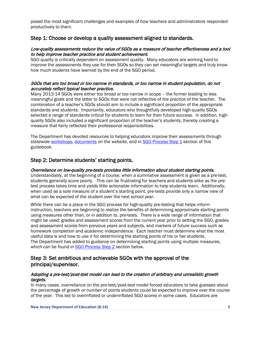posed the most significant challenges and examples of how teachers and administrators responded productively to them.

## Step 1: Choose or develop a quality assessment aligned to standards.

#### Low-quality assessments reduce the value of SGOs as a measure of teacher effectiveness and a tool to help improve teacher practice and student achievement.

SGO quality is critically dependent on assessment quality. Many educators are working hard to improve the assessments they use for their SGOs so they can set meaningful targets and truly know how much students have learned by the end of the SGO period.

#### SGOs that are too broad or too narrow in standards, or too narrow in student population, do not accurately reflect typical teacher practice.

Many 2013-14 SGOs were either too broad or too narrow in scope – the former leading to less meaningful goals and the latter to SGOs that were not reflective of the practice of the teacher. The combination of a teacher's SGOs should aim to include a significant proportion of the appropriate standards and students. Importantly, educators who thoughtfully developed high-quality SGOs selected a range of standards critical for students to learn for their future success. In addition, highquality SGOs also included a significant proportion of the teacher's students, thereby creating a measure that fairly reflected their professional responsibilities.

The Department has devoted resources to helping educators improve their assessments through statewide [workshops,](http://www.state.nj.us/education/AchieveNJ/resources/events.shtml) [documents](http://www.state.nj.us/education/AchieveNJ/teacher/objectives.shtml) on the website, and i[n SGO Process Step 1](#page-11-3) section of this guidebook.

## Step 2: Determine students' starting points.

#### Overreliance on low-quality pre-tests provides little information about student starting points.

Understandably, at the beginning of a course, when a summative assessment is given as a pre-test, students generally score poorly. This can be frustrating for teachers and students alike as the pretest process takes time and yields little actionable information to help students learn. Additionally, when used as a sole measure of a student's starting point, pre-tests provide only a narrow view of what can be expected of the student over the next school year.

While there can be a place in the SGO process for high-quality pre-testing that helps inform instruction, teachers are beginning to realize the benefits of determining approximate starting points using measures other than, or in addition to, pre-tests. There is a wide range of information that might be used; grades and assessment scores from the current year prior to setting the SGO, grades and assessment scores from previous years and subjects, and markers of future success such as homework completion and academic independence. Each teacher must determine what the most useful data is and how to use it for determining the starting points of his or her students. The Department has added to guidance on determining starting points using multiple measures, which can be found in [SGO Process Step 2](#page-16-3) section below.

## Step 3: Set ambitious and achievable SGOs with the approval of the principal/supervisor.

#### Adopting a pre-test/post-test model can lead to the creation of arbitrary and unrealistic growth targets.

In many cases, overreliance on the pre-test/post-test model forced educators to take guesses about the percentage of growth or number of points students could be expected to improve over the course of the year. This led to overinflated or underinflated SGO scores in some cases. Educators are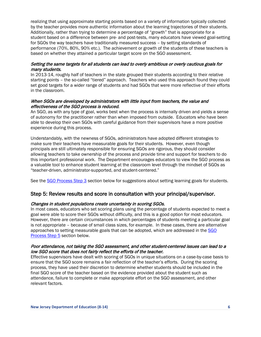realizing that using approximate starting points based on a variety of information typically collected by the teacher provides more authentic information about the learning trajectories of their students. Additionally, rather than trying to determine a percentage of "growth" that is appropriate for a student based on a difference between pre- and post-tests, many educators have viewed goal-setting for SGOs the way teachers have traditionally measured success – by setting standards of performance (70%, 80%, 90% etc.). The achievement or growth of the students of these teachers is based on whether they attained a particular target score on the SGO assessment.

#### Setting the same targets for all students can lead to overly ambitious or overly cautious goals for many students.

In 2013-14, roughly half of teachers in the state grouped their students according to their relative starting points – the so-called "tiered" approach. Teachers who used this approach found they could set good targets for a wider range of students and had SGOs that were more reflective of their efforts in the classroom.

#### When SGOs are developed by administrators with little input from teachers, the value and effectiveness of the SGO process is reduced.

An SGO, as with any type of goal, works best when the process is internally driven and yields a sense of autonomy for the practitioner rather than when imposed from outside. Educators who have been able to develop their own SGOs with careful guidance from their supervisors have a more positive experience during this process.

Understandably, with the newness of SGOs, administrators have adopted different strategies to make sure their teachers have measurable goals for their students. However, even though principals are still ultimately responsible for ensuring SGOs are rigorous, they should consider allowing teachers to take ownership of the process and provide time and support for teachers to do this important professional work. The Department encourages educators to view the SGO process as a valuable tool to enhance student learning at the classroom level through the mindset of SGOs as "teacher-driven, administrator-supported, and student-centered."

See the [SGO Process Step 3](#page-20-0) section below for suggestions about setting learning goals for students.

## Step 5: Review results and score in consultation with your principal/supervisor.

#### Changes in student populations create uncertainty in scoring SGOs.

In most cases, educators who set scoring plans using the percentage of students expected to meet a goal were able to score their SGOs without difficulty, and this is a good option for most educators. However, there are certain circumstances in which percentages of students meeting a particular goal is not appropriate – because of small class sizes, for example. In these cases, there are alternative approaches to setting measurable goals that can be adopted, which are addressed in the [SGO](#page-27-1)  [Process Step 5](#page-27-1) section below.

#### Poor attendance, not taking the SGO assessment, and other student-centered issues can lead to a low SGO score that does not fairly reflect the efforts of the teacher.

Effective supervisors have dealt with scoring of SGOs in unique situations on a case-by-case basis to ensure that the SGO score remains a fair reflection of the teacher's efforts. During the scoring process, they have used their discretion to determine whether students should be included in the final SGO score of the teacher based on the evidence provided about the student such as attendance, failure to complete or make appropriate effort on the SGO assessment, and other relevant factors.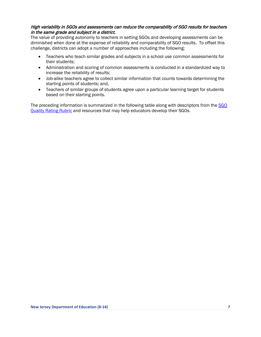#### High variability in SGOs and assessments can reduce the comparability of SGO results for teachers in the same grade and subject in a district.

The value of providing autonomy to teachers in setting SGOs and developing assessments can be diminished when done at the expense of reliability and comparability of SGO results. To offset this challenge, districts can adopt a number of approaches including the following;

- Teachers who teach similar grades and subjects in a school use common assessments for their students;
- Administration and scoring of common assessments is conducted in a standardized way to increase the reliability of results;
- Job-alike teachers agree to collect similar information that counts towards determining the starting points of students; and,
- Teachers of similar groups of students agree upon a particular learning target for students based on their starting points.

The preceding information is summarized in the following table along with descriptors from the SGO [Quality Rating Rubric](http://www.state.nj.us/education/AchieveNJ/teacher/SGOQualityRatingRubric.pdf) and resources that may help educators develop their SGOs.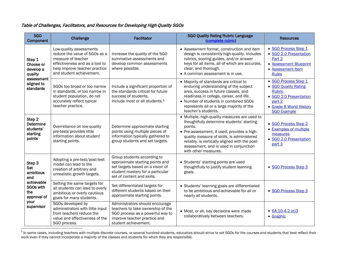## <span id="page-7-0"></span>Table of Challenges, Facilitators, and Resources for Developing High-Quality SGOs

| <b>SGO</b><br>Component                                                                                                | Challenge                                                                                                                                                                     | <b>Facilitator</b>                                                                                                                                                   | <b>SGO Quality Rating Rubric Language</b><br>(complete rubric)                                                                                                                                                                                                                                                         | <b>Resources</b>                                                                                                                                   |
|------------------------------------------------------------------------------------------------------------------------|-------------------------------------------------------------------------------------------------------------------------------------------------------------------------------|----------------------------------------------------------------------------------------------------------------------------------------------------------------------|------------------------------------------------------------------------------------------------------------------------------------------------------------------------------------------------------------------------------------------------------------------------------------------------------------------------|----------------------------------------------------------------------------------------------------------------------------------------------------|
| Step 1<br>Choose or<br>develop a<br>quality                                                                            | Low-quality assessments<br>reduce the value of SGOs as a<br>measure of teacher<br>effectiveness and as a tool to<br>help improve teacher practice<br>and student achievement. | Increase the quality of the SGO<br>summative assessments and<br>develop common assessments<br>where possible.                                                        | • Assessment format, construction and item<br>design is consistently high-quality. Includes<br>rubrics, scoring guides, and/or answer<br>keys for all items, all of which are accurate,<br>clear, and thorough.<br>• A common assessment is in use.                                                                    | • SGO Process Step 1<br>· SGO 2.0 Presentation<br>Part 2<br>• Assessment Blueprint<br>• Assessment Item<br><b>Rules</b>                            |
| assessment<br>aligned to<br>standards                                                                                  | SGOs too broad or too narrow<br>in standards, or too narrow in<br>student population, do not<br>accurately reflect typical<br>teacher practice.                               | Include a significant proportion of<br>the standards critical for future<br>success of students.<br>Include most or all students. <sup>5</sup>                       | • Majority of standards are critical to<br>enduring understanding of the subject<br>area, success in future classes, and<br>readiness in college, career, and life.<br>• Number of students in combined SGOs<br>represents all or a large majority of the<br>teacher's students.                                       | • SGO Process Step 1<br>• SGO Quality Rating<br><b>Rubric</b><br>· SGO 2.0 Presentation<br>part 2<br>· Grade 8 World History<br><b>SGO Example</b> |
| Step 2<br><b>Determine</b><br>students'<br>starting<br>points                                                          | Overreliance on low-quality<br>pre-tests provides little<br>information about student<br>starting points.                                                                     | Determine approximate starting<br>points using multiple pieces of<br>information typically gathered to<br>group students and set targets.                            | • Multiple, high-quality measures are used to<br>thoughtfully determine students' starting<br>points.<br>• Pre-assessment, if used, provides a high-<br>quality measure of skills, is administered<br>reliably, is vertically aligned with the post-<br>assessment, and is used in conjunction<br>with other measures. | • SGO Process Step 2<br>• Examples of multiple<br>measures<br>· SGO 2.0 Presentation<br>part 3                                                     |
| Step 3<br><b>Set</b><br>ambitious<br>and<br>achievable<br><b>SGOs with</b><br>the<br>approval of<br>your<br>supervisor | Adopting a pre-test/post-test<br>model can lead to the<br>creation of arbitrary and<br>unrealistic growth targets.                                                            | Group students according to<br>approximate starting points and<br>set targets based on a vision of<br>student mastery for a particular<br>set of content and skills. | • Students' starting points are used<br>thoughtfully to justify student learning<br>goals.                                                                                                                                                                                                                             | • SGO Process Step 3                                                                                                                               |
|                                                                                                                        | Setting the same targets for<br>all students can lead to overly<br>ambitious or overly cautious<br>goals for many students.                                                   | Set differentiated targets for<br>different students based on their<br>approximate starting points.                                                                  | • Students' learning goals are differentiated<br>to be ambitious and achievable for all or<br>nearly all students.                                                                                                                                                                                                     | • SGO Process Step 3                                                                                                                               |
|                                                                                                                        | SGOs developed by<br>administrators with little input<br>from teachers reduce the<br>value and effectiveness of the<br>SGO process.                                           | Administrators should encourage<br>teachers to take ownership of the<br>SGO process as a powerful way to<br>improve teacher practice and<br>student achievement.     | • Most, or all, key decisions were made<br>collaboratively between teachers.                                                                                                                                                                                                                                           | $\bullet$ 6A:10-4.2 (e)3<br>• Graphic                                                                                                              |

THE STERN STERN STERN STERN STERN STERN STERN STERN STERN STERN STERN STERN STERN STERN STERN STERN STERN STERN STERN STERN STERN STERN STERN STERN STERN STERN STERN STERN STERN STERN STERN STERN STERN STERN STERN STERN ST work even if they cannot incorporate a *majority* of the classes and students for which they are responsible.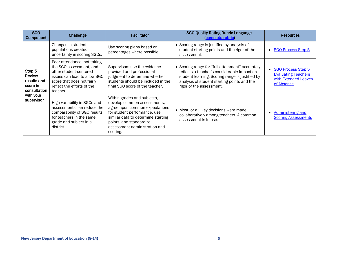| <b>SGO</b><br>Component                                     | Challenge                                                                                                                                                                                | <b>Facilitator</b>                                                                                                                                                                                                                         | <b>SGO Quality Rating Rubric Language</b><br>(complete rubric)                                                                                                                                                                |                                                                                          |
|-------------------------------------------------------------|------------------------------------------------------------------------------------------------------------------------------------------------------------------------------------------|--------------------------------------------------------------------------------------------------------------------------------------------------------------------------------------------------------------------------------------------|-------------------------------------------------------------------------------------------------------------------------------------------------------------------------------------------------------------------------------|------------------------------------------------------------------------------------------|
|                                                             | Changes in student<br>populations created<br>uncertainty in scoring SGOs.                                                                                                                | Use scoring plans based on<br>percentages where possible.                                                                                                                                                                                  | • Scoring range is justified by analysis of<br>student starting points and the rigor of the<br>assessment.                                                                                                                    |                                                                                          |
| Step 5<br>Review<br>results and<br>score in<br>consultation | Poor attendance, not taking<br>the SGO assessment, and<br>other student-centered<br>issues can lead to a low SGO<br>score that does not fairly<br>reflect the efforts of the<br>teacher. | Supervisors use the evidence<br>provided and professional<br>judgment to determine whether<br>students should be included in the<br>final SGO score of the teacher.                                                                        | • Scoring range for "full attainment" accurately<br>reflects a teacher's considerable impact on<br>student learning. Scoring range is justified by<br>analysis of student starting points and the<br>rigor of the assessment. | • SGO Process Step 5<br><b>Evaluating Teachers</b><br>with Extended Leaves<br>of Absence |
| with your<br>supervisor                                     | High variability in SGOs and<br>assessments can reduce the<br>comparability of SGO results<br>for teachers in the same<br>grade and subject in a<br>district.                            | Within grades and subjects,<br>develop common assessments,<br>agree upon common expectations<br>for student performance, use<br>similar data to determine starting<br>points, and standardize<br>assessment administration and<br>scoring. | • Most, or all, key decisions were made<br>collaboratively among teachers. A common<br>assessment is in use.                                                                                                                  | Administering and<br><b>Scoring Assessments</b>                                          |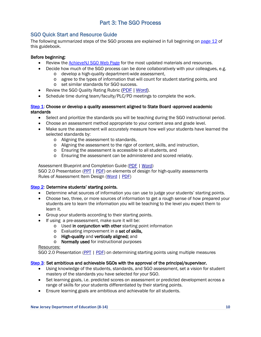# Part 3: The SGO Process

## <span id="page-9-1"></span><span id="page-9-0"></span>SGO Quick Start and Resource Guide

The following summarized steps of the SGO process are explained in full beginning on [page 12](#page-11-3) of this guidebook.

#### Before beginning:

- Review the **AchieveNJ SGO Web Page** for the most updated materials and resources.
- Decide how much of the SGO process can be done collaboratively with your colleagues, e.g. o develop a high-quality department-wide assessment,
	- o agree to the types of information that will count for student starting points, and o set similar standards for SGO success.
- Review the SGO Quality Rating Rubric [\(PDF](http://www.state.nj.us/education/AchieveNJ/teacher/SGOQualityRatingRubric.pdf) | [Word\)](http://www.state.nj.us/education/AchieveNJ/teacher/SGOQualityRatingRubric.doc).
- Schedule time during team/faculty/PLC/PD meetings to complete the work.

#### [Step 1:](#page-11-3) Choose or develop a quality assessment aligned to State Board -approved academic standards

- Select and prioritize the standards you will be teaching during the SGO instructional period.
- Choose an assessment method appropriate to your content area and grade level.
- Make sure the assessment will accurately measure how well your students have learned the selected standards by:
	- o Aligning the assessment to standards,
	- o Aligning the assessment to the rigor of content, skills, and instruction,
	- o Ensuring the assessment is accessible to all students, and
	- o Ensuring the assessment can be administered and scored reliably.

Assessment Blueprint and Completion Guide [\(PDF](http://www.state.nj.us/education/AchieveNJ/teacher/AssessmentBlueprintandCompletionGuide.pdf) | [Word\)](http://www.state.nj.us/education/AchieveNJ/teacher/AssessmentBlueprintandCompletionGuide.doc) SGO 2.0 Presentation [\(PPT](http://www.state.nj.us/education/AchieveNJ/teacher/SGO20FromCompliancetoQuality.pptx) | [PDF\)](http://www.state.nj.us/education/AchieveNJ/teacher/SGO20FromCompliancetoQuality.pdf) on elements of design for high-quality assessments Rules of Assessment Item Design [\(Word](http://www.state.nj.us/education/AchieveNJ/teacher/RulesofAssessmentItemDesign.docx) | [PDF\)](http://www.state.nj.us/education/AchieveNJ/teacher/RulesofAssessmentItemDesign.pdf)

## [Step 2:](#page-16-3) Determine students' starting points.

- Determine what sources of information you can use to judge your students' starting points.
- Choose two, three, or more sources of information to get a rough sense of how prepared your students are to learn the information you will be teaching to the level you expect them to learn it.
- Group your students according to their starting points.
- If using a pre-assessment, make sure it will be:
	- o Used in conjunction with other starting point information
	- o Evaluating improvement in a set of skills,
	- o High-quality and vertically aligned; and
	- o Normally used for instructional purposes

#### Resources:

SGO 2.0 Presentation (<u>[PPT](http://www.state.nj.us/education/AchieveNJ/teacher/SGO20FromCompliancetoQuality.pptx)</u> | <u>PDF</u>) on determining starting points using multiple measures

#### [Step 3:](#page-20-0) Set ambitious and achievable SGOs with the approval of the principal/supervisor.

- Using knowledge of the students, standards, and SGO assessment, set a vision for student mastery of the standards you have selected for your SGO.
- Set learning goals, i.e. predicted scores on assessment or predicted development across a range of skills for your students differentiated by their starting points.
- Ensure learning goals are ambitious and achievable for all students.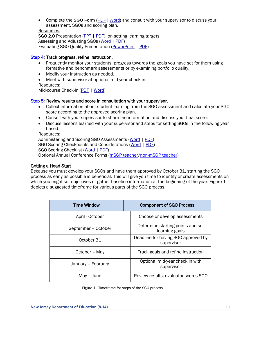• Complete the **SGO Form** [\(PDF](http://www.state.nj.us/education/AchieveNJ/teacher/2014-15StudentGrowthObjectiveForm.pdf) | [Word\)](http://www.state.nj.us/education/AchieveNJ/teacher/2014-15StudentGrowthObjectiveForm.doc) and consult with your supervisor to discuss your assessment, SGOs and scoring plan.

Resources:

SGO 2.0 Presentation (<u>[PPT](http://www.state.nj.us/education/AchieveNJ/teacher/SGO20FromCompliancetoQuality.pptx)</u> | <u>PDF</u>) on setting learning targets Assessing and Adjusting SGOs [\(Word](http://www.state.nj.us/education/AchieveNJ/teacher/AssessingandAdjustingSGOs.doc) | [PDF\)](http://www.state.nj.us/education/AchieveNJ/teacher/AssessingandAdjustingSGOs.pdf) Evaluating SGO Quality Presentation [\(PowerPoint](http://www.state.nj.us/education/AchieveNJ/teacher/SGOQualityAssessment.ppt) | [PDF\)](http://www.state.nj.us/education/AchieveNJ/teacher/SGOQualityAssessment.pdf)

#### [Step 4:](#page-26-0) Track progress, refine instruction.

- Frequently monitor your students' progress towards the goals you have set for them using formative and benchmark assessments or by examining portfolio quality.
- Modify your instruction as needed.
- Meet with supervisor at optional mid-year check-in. Resources:

Mid-course Check-in (<mark>[PDF](http://highpoint.state.nj.us/education/AchieveNJ/teacher/forms/SGO4-1.pdf) | Word</mark>)

#### [Step 5:](#page-27-1) Review results and score in consultation with your supervisor.

- Collect information about student learning from the SGO assessment and calculate your SGO score according to the approved scoring plan.
- Consult with your supervisor to share the information and discuss your final score.
- Discuss lessons learned with your supervisor and steps for setting SGOs in the following year based.

#### Resources:

Administering and Scoring SGO Assessments (<u>[Word](http://highpoint.state.nj.us/education/AchieveNJ/resources/AdministeringandScoringSGOAssessments.docx)</u> | <u>PDF</u>) SGO Scoring Checkpoints and Considerations [\(Word](http://highpoint.state.nj.us/education/AchieveNJ/resources/SGOScoringCheckpointsandConsiderations.docx) | [PDF\)](http://highpoint.state.nj.us/education/AchieveNJ/resources/SGOScoringCheckpointsandConsiderations.pdf) SGO Scoring Checklist [\(Word](http://highpoint.state.nj.us/education/AchieveNJ/resources/SGOScoringChecklist.docx) | [PDF\)](http://highpoint.state.nj.us/education/AchieveNJ/resources/SGOScoringChecklist.pdf) Optional Annual Conference Forms [\(mSGP teacher](http://www.state.nj.us/education/AchieveNJ/resources/scoring/mSGPsummaryform.docx)[/non-mSGP](http://www.state.nj.us/education/AchieveNJ/resources/scoring/1415nonmSGPsummaryform.docx) teacher)

#### Getting a Head Start

Because you must develop your SGOs and have them approved by October 31, starting the SGO process as early as possible is beneficial. This will give you time to identify or create assessments on which you might set objectives or gather baseline information at the beginning of the year. Figure 1 depicts a suggested timeframe for various parts of the SGO process.

| Time Window         | <b>Component of SGO Process</b>                     |
|---------------------|-----------------------------------------------------|
| April - October     | Choose or develop assessments                       |
| September – October | Determine starting points and set<br>learning goals |
| October 31          | Deadline for having SGO approved by<br>supervisor   |
| October – May       | Track goals and refine instruction                  |
| January - February  | Optional mid-year check in with<br>supervisor       |
| May – June          | Review results, evaluator scores SGO                |

Figure 1: Timeframe for steps of the SGO process.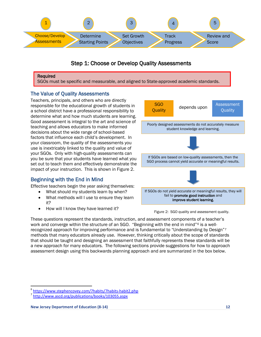<span id="page-11-4"></span><span id="page-11-3"></span>

## <span id="page-11-0"></span>Step 1: Choose or Develop Quality Assessments

#### Required

SGOs must be specific and measurable, and aligned to State-approved academic standards.

## <span id="page-11-1"></span>The Value of Quality Assessments

Teachers, principals, and others who are directly responsible for the educational growth of students in a school district have a professional responsibility to determine what and how much students are learning. Good assessment is integral to the art and science of teaching and allows educators to make informed decisions about the wide range of school-based factors that influence each child's development. In your classroom, the quality of the assessments you use is inextricably linked to the quality and value of your SGOs. Only with high-quality assessments can you be sure that your students have learned what you set out to teach them and effectively demonstrate the impact of your instruction. This is shown in Figure 2.

## <span id="page-11-2"></span>Beginning with the End in Mind

Effective teachers begin the year asking themselves:

- What should my students learn by when?
- What methods will I use to ensure they learn it?
- How will I know they have learned it?



Figure 2: SGO quality and assessment quality.

These questions represent the standards, instruction, and assessment components of a teacher's work and converge within the structure of an SGO. "Beginning with the end in mind"<sup>[6](#page-11-5)</sup> is a wellrecognized approach for improving performance and is fundamental to "Understanding by Design"[7](#page-11-6) methods that many educators already use. However, thinking critically about the scope of standards that should be taught and designing an assessment that faithfully represents these standards will be a new approach for many educators. The following sections provide suggestions for how to approach assessment design using this backwards planning approach and are summarized in the box below.

<span id="page-11-5"></span><sup>&</sup>lt;sup>6</sup> <https://www.stephencovey.com/7habits/7habits-habit2.php><br><sup>7</sup> <http://www.ascd.org/publications/books/103055.aspx>

<span id="page-11-6"></span>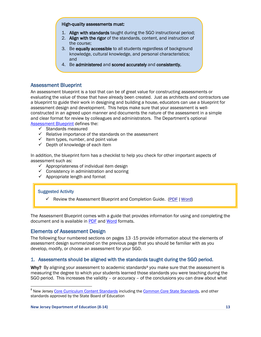#### High-quality assessments must:

- 1. Align with standards taught during the SGO instructional period;
- 2. Align with the rigor of the standards, content, and instruction of the course;
- 3. Be equally accessible to all students regardless of background knowledge, cultural knowledge, and personal characteristics; and
- 4. Be administered and scored accurately and consistently.

## <span id="page-12-0"></span>Assessment Blueprint

An assessment blueprint is a tool that can be of great value for constructing assessments or evaluating the value of those that have already been created. Just as architects and contractors use a blueprint to guide their work in designing and building a house, educators can use a blueprint for assessment design and development. This helps make sure that your assessment is wellconstructed in an agreed upon manner and documents the nature of the assessment in a simple and clear format for review by colleagues and administrators. The Department's optional [Assessment Blueprint](http://www.state.nj.us/education/AchieveNJ/teacher/AssessmentBlueprintandCompletionGuide.pdf) defines the:

- $\checkmark$  Standards measured
- $\checkmark$  Relative importance of the standards on the assessment
- $\checkmark$  Item types, number, and point value
- $\checkmark$  Depth of knowledge of each item

In addition, the blueprint form has a checklist to help you check for other important aspects of assessment such as:

- $\checkmark$  Appropriateness of individual item design
- $\checkmark$  Consistency in administration and scoring
- $\checkmark$  Appropriate length and format

#### Suggested Activity

 $\checkmark$  Review the Assessment Blueprint and Completion Guide. [\(PDF](http://www.state.nj.us/education/AchieveNJ/teacher/AssessmentBlueprintandCompletionGuide.pdf) | [Word\)](http://www.state.nj.us/education/AchieveNJ/teacher/AssessmentBlueprintandCompletionGuide.doc)

The Assessment Blueprint comes with a guide that provides information for using and completing the document and is available in [PDF](http://www.state.nj.us/education/AchieveNJ/teacher/AssessmentBlueprintandCompletionGuide.pdf) and [Word](http://www.state.nj.us/education/AchieveNJ/teacher/AssessmentBlueprintandCompletionGuide.doc) formats.

## <span id="page-12-1"></span>Elements of Assessment Design

The following four numbered sections on pages 13 -15 provide information about the elements of assessment design summarized on the previous page that you should be familiar with as you develop, modify, or choose an assessment for your SGO.

## <span id="page-12-2"></span>1. Assessments should be aligned with the standards taught during the SGO period.

Why? By aligning your assessment to academic standards<sup>[8](#page-12-3)</sup> you make sure that the assessment is measuring the degree to which your students learned those standards you were teaching during the SGO period. This increases the validity – or accuracy – of the conclusions you can draw about what

<span id="page-12-3"></span><sup>8&</sup>lt;br>8 New Jersey <u>[Core Curriculum Content Standards](http://www.state.nj.us/education/cccs/)</u> including the <u>Common Core State Standards</u>, and other <sup>8</sup> standards approved by the State Board of Education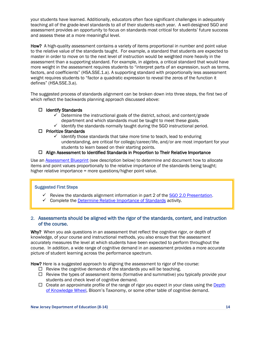your students have learned. Additionally, educators often face significant challenges in adequately teaching all of the grade-level standards to all of their students each year. A well-designed SGO and assessment provides an opportunity to focus on standards most critical for students' future success and assess these at a more meaningful level.

How? A high-quality assessment contains a variety of items proportional in number and point value to the relative value of the standards taught. For example, a standard that students are expected to master in order to move on to the next level of instruction would be weighted more heavily in the assessment than a supporting standard. For example, in algebra, a critical standard that would have more weight in the assessment requires students to "interpret parts of an expression, such as terms, factors, and coefficients" (HSA.SSE.1.a). A supporting standard with proportionally less assessment weight requires students to "factor a quadratic expression to reveal the zeros of the function it defines" (HSA.SSE.3.a).

The suggested process of standards alignment can be broken down into three steps, the first two of which reflect the backwards planning approach discussed above:

#### $\Box$  Identify Standards

- $\checkmark$  Determine the instructional goals of the district, school, and content/grade department and which standards must be taught to meet these goals.
- $\checkmark$  Identify the standards normally taught during the SGO instructional period.

#### $\square$  Prioritize Standards

 $\checkmark$  Identify those standards that take more time to teach, lead to enduring understanding, are critical for college/career/life, and/or are most important for your students to learn based on their starting points.

## $\Box$  Align Assessment to Identified Standards in Proportion to Their Relative Importance

Use an [Assessment Blueprint](http://www.state.nj.us/education/AchieveNJ/teacher/AssessmentBlueprintandCompletionGuide.pdf) (see description below) to determine and document how to allocate items and point values proportionally to the relative importance of the standards being taught; higher relative importance = more questions/higher point value.

## Suggested First Steps

- Review the standards alignment information in part 2 of the  $SGO 2.0$  Presentation.
- $\checkmark$  Complete the [Determine Relative Importance of Standards](http://www.state.nj.us/education/AchieveNJ/teacher/ActivityDetermineRelativeImportanceofStandards.pdf) activity.

## <span id="page-13-0"></span>2. Assessments should be aligned with the rigor of the standards, content, and instruction of the course.

Why? When you ask questions in an assessment that reflect the cognitive rigor, or depth of knowledge, of your course and instructional methods, you also ensure that the assessment accurately measures the level at which students have been expected to perform throughout the course. In addition, a wide range of cognitive demand in an assessment provides a more accurate picture of student learning across the performance spectrum.

How? Here is a suggested approach to aligning the assessment to rigor of the course:

- $\Box$  Review the cognitive demands of the standards you will be teaching.
- $\Box$  Review the types of assessment items (formative and summative) you typically provide your students and check level of cognitive demand.
- $\Box$  Create an approximate profile of the range of rigor you expect in your class using the Depth [of Knowledge Wheel,](http://www.state.nj.us/education/AchieveNJ/teacher/DOKWheelAndDOKRigorChartAndChecklist.pdf) Bloom's Taxonomy, or some other table of cognitive demand.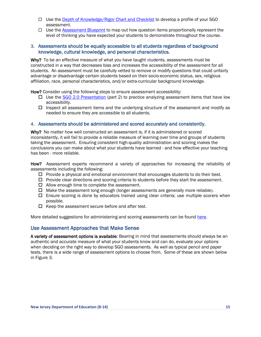- □ Use the [Depth of Knowledge/Rigor Chart and Checklist](http://www.state.nj.us/education/AchieveNJ/teacher/DOKWheelAndDOKRigorChartAndChecklist.pdf) to develop a profile of your SGO assessment.
- $\Box$  Use the [Assessment Blueprint](http://www.state.nj.us/education/AchieveNJ/teacher/AssessmentBlueprintandCompletionGuide.pdf) to map out how question items proportionally represent the level of thinking you have expected your students to demonstrate throughout the course.

## <span id="page-14-0"></span>3. Assessments should be equally accessible to all students regardless of background knowledge, cultural knowledge, and personal characteristics.

Why? To be an effective measure of what you have taught students, assessments must be constructed in a way that decreases bias and increases the accessibility of the assessment for all students. An assessment must be carefully vetted to remove or modify questions that could unfairly advantage or disadvantage certain students based on their socio-economic status, sex, religious affiliation, race, personal characteristics, and/or extra-curricular background knowledge.

How? Consider using the following steps to ensure assessment accessibility:

- $\Box$  Use the [SGO 2.0 Presentation](http://www.state.nj.us/education/AchieveNJ/teacher/SGO20FromCompliancetoQuality.pdf) (part 2) to practice analyzing assessment items that have low accessibility.
- $\Box$  Inspect all assessment items and the underlying structure of the assessment and modify as needed to ensure they are accessible to all students.

## <span id="page-14-1"></span>4. Assessments should be administered and scored accurately and consistently.

Why? No matter how well constructed an assessment is, if it is administered or scored inconsistently, it will fail to provide a reliable measure of learning over time and groups of students taking the assessment. Ensuring consistent high-quality administration and scoring makes the conclusions you can make about what your students have learned - and how effective your teaching has been - more reliable.

How? Assessment experts recommend a variety of approaches for increasing the reliability of assessments including the following:

- $\Box$  Provide a physical and emotional environment that encourages students to do their best.
- $\Box$  Provide clear directions and scoring criteria to students before they start the assessment.
- $\Box$  Allow enough time to complete the assessment.
- $\Box$  Make the assessment long enough (longer assessments are generally more reliable).
- $\Box$  Ensure scoring is done by educators trained using clear criteria; use multiple scorers when possible.
- $\Box$  Keep the assessment secure before and after test.

More detailed suggestions for administering and scoring assessments can be found [here.](http://www.state.nj.us/education/AchieveNJ/resources/AdministeringandScoringSGOAssessments.pdf)

## <span id="page-14-2"></span>Use Assessment Approaches that Make Sense

A variety of assessment options is available: Bearing in mind that assessments should always be an authentic and accurate measure of what your students know and can do, evaluate your options when deciding on the right way to develop SGO assessments. As well as typical pencil and paper tests, there is a wide range of assessment options to choose from. Some of these are shown below in Figure 3.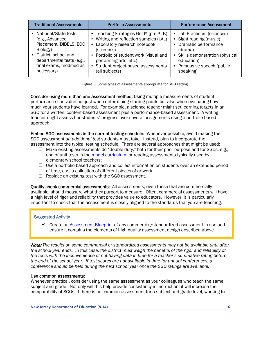| <b>Traditional Assessments</b> | <b>Portfolio Assessments</b>            | <b>Performance Assessment</b>    |
|--------------------------------|-----------------------------------------|----------------------------------|
| National/State tests           | • Teaching Strategies Gold® (pre-K, K)  | • Lab Practicum (sciences)       |
| (e.g., Advanced                | • Writing and reflection samples (LAL)  | • Sight reading (music)          |
| Placement, DIBELS, EOC         | • Laboratory research notebook          | • Dramatic performance           |
| Biology)                       | (sciences)                              | (drama)                          |
| District, school and           | • Portfolio of student work (visual and | • Skills demonstration (physical |
| departmental tests (e.g.,      | performing arts, etc.)                  | education)                       |
| final exams, modified as       | • Student project-based assessments     | • Persuasive speech (public      |
| necessary)                     | (all subjects)                          | speaking)                        |

Figure 3: Some types of assessments appropriate for SGO setting.

Consider using more than one assessment method: Using multiple measurements of student performance has value not just when determining starting points but also when evaluating how much your students have learned. For example, a science teacher might set learning targets in an SGO for a written, content-based assessment plus a performance-based assessment. A writing teacher might assess her students' progress over several assignments using a portfolio based approach.

Embed SGO assessments in the current testing schedule: Whenever possible, avoid making the SGO assessment *an additional test* students must take. Instead, plan to incorporate the assessment into the typical testing schedule. There are several approaches that might be used:

- $\Box$  Make existing assessments do "double duty," both for their prior purpose and for SGOs, e.g., end of unit tests in the [model curriculum,](http://www.state.nj.us/education/modelcurriculum/) or reading assessments typically used by elementary school teachers;
- $\Box$  Use a portfolio-based approach and collect information on students over an extended period of time, e.g., a collection of different pieces of artwork.
- $\Box$  Replace an existing test with the SGO assessment.

Quality check commercial assessments: All assessments, even those that are commercially available, should measure what they purport to measure. Often, commercial assessments will have a high level of rigor and reliability that provides value to educators. However, it is particularly important to check that the assessment is closely aligned to the standards that you are teaching.

## Suggested Activity

 $\checkmark$  Create an [Assessment Blueprint](http://www.state.nj.us/education/AchieveNJ/teacher/AssessmentBlueprintandCompletionGuide.pdf) of any commercial/standardized assessment in use and ensure it contains the elements of high quality assessment design described above.

Note: *The results on some commercial or standardized assessments may not be available until after the school year ends. In this case, the district must weigh the benefits of the rigor and reliability of the tests with the inconvenience of not having data in time for a teacher's summative rating before the end of the school year. If test scores are not available in time for annual conferences, a conference should be held during the next school year once the SGO ratings are available.*

#### Use common assessments:

Whenever practical, consider using the same assessment as your colleagues who teach the same subject and grade. Not only will this help provide consistency in instruction, it will increase the comparability of SGOs. If there is no common assessment for a subject and grade level, working to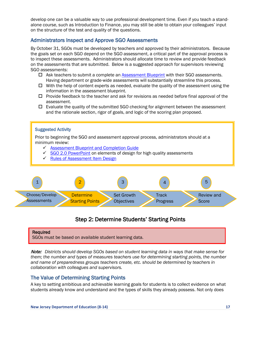<span id="page-16-4"></span><span id="page-16-3"></span>develop one can be a valuable way to use professional development time. Even if you teach a standalone course, such as Introduction to Finance, you may still be able to obtain your colleagues' input on the structure of the test and quality of the questions.

## <span id="page-16-0"></span>Administrators Inspect and Approve SGO Assessments

By October 31, SGOs must be developed by teachers and approved by their administrators. Because the goals set on each SGO depend on the SGO assessment, a critical part of the approval process is to inspect these assessments. Administrators should allocate time to review and provide feedback on the assessments that are submitted. Below is a suggested approach for supervisors reviewing SGO assessments:

- $\Box$  Ask teachers to submit a complete an  $\Delta s$  [Assessment Blueprint](http://www.state.nj.us/education/AchieveNJ/teacher/AssessmentBlueprintandCompletionGuide.pdf) with their SGO assessments. Having department or grade-wide assessments will substantially streamline this process.
- $\Box$  With the help of content experts as needed, evaluate the quality of the assessment using the information in the assessment blueprint.
- $\Box$  Provide feedback to the teacher and ask for revisions as needed before final approval of the assessment.
- $\Box$  Evaluate the quality of the submitted SGO checking for alignment between the assessment and the rationale section, rigor of goals, and logic of the scoring plan proposed.



# Step 2: Determine Students' Starting Points

#### <span id="page-16-1"></span>Required

SGOs must be based on available student learning data.

Note: *Districts should develop SGOs based on student learning data in ways that make sense for them; the number and types of measures teachers use for determining starting points, the number and name of preparedness groups teachers create, etc. should be determined by teachers in collaboration with colleagues and supervisors.* 

## <span id="page-16-2"></span>The Value of Determining Starting Points

A key to setting ambitious and achievable learning goals for students is to collect evidence on what students already know and understand and the types of skills they already possess. Not only does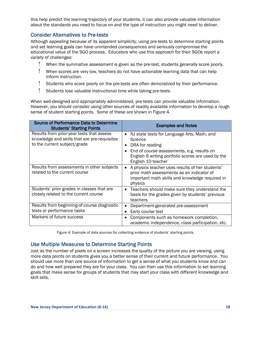this help predict the learning trajectory of your students, it can also provide valuable information about the standards you need to focus on and the type of instruction you might need to deliver.

## <span id="page-17-0"></span>Consider Alternatives to Pre-tests

Although appealing because of its apparent simplicity, using pre-tests to determine starting points and set learning goals can have unintended consequences and seriously compromise the educational value of the SGO process. Educators who use this approach for their SGOs report a variety of challenges:

- ! When the summative assessment is given as the pre-test, students generally score poorly.
- ! When scores are very low, teachers do not have actionable learning data that can help inform instruction.
- ! Students who score poorly on the pre-tests are often demoralized by their performance.
- ! Students lose valuable instructional time while taking pre-tests.

When well-designed and appropriately administered, pre-tests can provide valuable information. However, you should consider using other sources of readily available information to develop a rough sense of student starting points. Some of these are shown in Figure 4.

| <b>Source of Performance Data to Determine</b><br><b>Students' Starting Points</b> | <b>Examples and Notes</b>                                  |
|------------------------------------------------------------------------------------|------------------------------------------------------------|
| Results from prior-year tests that assess                                          | NJ state tests for Language Arts, Math, and<br>$\bullet$   |
| knowledge and skills that are pre-requisites                                       | Science                                                    |
| to the current subject/grade                                                       | DRA for reading<br>$\bullet$                               |
|                                                                                    | End of course assessments, e.g. results on                 |
|                                                                                    | English 9 writing portfolio scores are used by the         |
|                                                                                    | English 10 teacher                                         |
| Results from assessments in other subjects                                         | A physics teacher uses results of her students'            |
| related to the current course                                                      | prior math assessments as an indicator of                  |
|                                                                                    | important math skills and knowledge required in<br>physics |
| Students' prior grades in classes that are                                         | Teachers should make sure they understand the<br>$\bullet$ |
| closely related to the current course                                              | basis for the grades given by students' previous           |
|                                                                                    | teachers                                                   |
| Results from beginning-of-course diagnostic                                        | Department-generated pre-assessment                        |
| tests or performance tasks                                                         | Early course test<br>$\bullet$                             |
| Markers of future success                                                          | Components such as homework completion,<br>$\bullet$       |
|                                                                                    | academic independence, class participation, etc.           |

Figure 4: Example of data sources for collecting evidence of students' starting points.

## <span id="page-17-1"></span>Use Multiple Measures to Determine Starting Points

Just as the number of pixels on a screen increases the quality of the picture you are viewing, using more data points on students gives you a better sense of their current and future performance. You should use more than one source of information to get a sense of what you students know and can do and how well prepared they are for your class. You can then use this information to set learning goals that make sense for groups of students that may start your class with different knowledge and skill sets.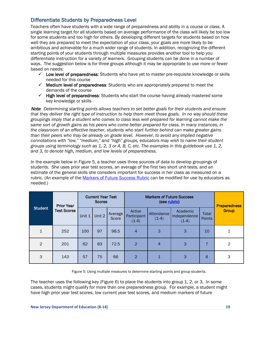## <span id="page-18-0"></span>Differentiate Students by Preparedness Level

Teachers often have students with a wide range of preparedness and ability in a course or class. A single learning target for all students based on average performance of the class will likely be too low for some students and too high for others. By developing different targets for students based on how well they are prepared to meet the expectation of your class, your goals are more likely to be ambitious and achievable for a much wider range of students. In addition, recognizing the different starting points of your students through multiple measures provides another tool to help you differentiate instruction for a variety of learners. Grouping students can be done in a number of ways. The suggestion below is for three groups although it may be appropriate to use more or fewer based on needs:

- $\checkmark$  Low level of preparedness: Students who have yet to master pre-requisite knowledge or skills needed for this course
- $\checkmark$  Medium level of preparedness: Students who are appropriately prepared to meet the demands of the course
- $\checkmark$  High level of preparedness: Students who start the course having already mastered some key knowledge or skills

Note*: Determining starting points allows teachers to set better goals for their students and ensure that they deliver the right type of instruction to help them meet those goals. In no way should these groupings imply that a student who comes to class less well prepared for learning cannot make the same sort of growth gains as his peers who come better prepared for class. In many instances, in the classroom of an effective teacher, students who start further behind can make greater gains than their peers who may be already on grade level. However, to avoid any implied negative connotations with "low," "medium," and "high" groups, educators may wish to name their student groups using terminology such as 1, 2, 3 or A, B, C, etc. The examples in this guidebook use 1, 2, and 3, to denote high, medium, and low levels of preparedness.*

In the example below in Figure 5, a teacher uses three sources of data to develop groupings of students. She uses prior year test scores, an average of the first two short unit tests, and an estimate of the general skills she considers important for success in her class as measured on a rubric. (An example of th[e Markers of Future Success Rubric](http://www.state.nj.us/education/AchieveNJ/teacher/SampleRubricForImportantMarkersOfFutureSuccess.pdf) can be modified for use by educators as needed.)

| <b>Prior Year</b> |                    | <b>Current Year Test</b><br><b>Scores</b> |        |                  | <b>Markers of Future Success</b><br>(see rubric) |                       |                                     | <b>Preparedness</b>           |              |
|-------------------|--------------------|-------------------------------------------|--------|------------------|--------------------------------------------------|-----------------------|-------------------------------------|-------------------------------|--------------|
| <b>Student</b>    | <b>Test Scores</b> | Unit 1                                    | Unit 2 | Average<br>Score | Active<br>Participant<br>$(1-4)$                 | Attendance<br>$(1-4)$ | Academic<br>Independence<br>$(1-4)$ | <b>Total</b><br><b>Points</b> | <b>Group</b> |
| $\mathbf 1$       | 252                | 100                                       | 97     | 98.5             | $\overline{4}$                                   | 3                     | 3                                   | 10                            |              |
| $\overline{2}$    | 201                | 62                                        | 83     | 72.5             | $\overline{2}$                                   | $\overline{4}$        | 3                                   | 7                             | 2            |
| 3                 | 143                | 57                                        | 75     | 66               | $\overline{2}$                                   | $\mathbf 1$           | 3                                   | 6                             | 3            |

Figure 5: Using multiple measures to determine starting points and group students.

The teacher uses the following key (Figure 6) to place the students into group 1, 2, or 3. In some cases, students might qualify for more than one preparedness group. For example, a student might have high prior year test scores, low current year test scores, and medium markers of future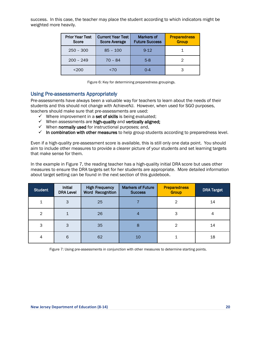success. In this case, the teacher may place the student according to which indicators might be weighted more heavily.

| <b>Prior Year Test</b><br>Score | <b>Current Year Test</b><br><b>Score Average</b> | <b>Markers of</b><br><b>Future Success</b> | <b>Preparedness</b><br><b>Group</b> |
|---------------------------------|--------------------------------------------------|--------------------------------------------|-------------------------------------|
| $250 - 300$                     | $85 - 100$                                       | $9-12$                                     |                                     |
| $200 - 249$                     | $70 - 84$                                        | $5-8$                                      |                                     |
| <200                            | $<$ 70                                           | 0-4                                        |                                     |

Figure 6: Key for determining preparedness groupings.

## <span id="page-19-0"></span>Using Pre-assessments Appropriately

Pre-assessments have always been a valuable way for teachers to learn about the needs of their students and this should not change with AchieveNJ. However, when used for SGO purposes, teachers should make sure that pre-assessments are used:

- $\checkmark$  Where improvement in a set of skills is being evaluated;
- $\checkmark$  When assessments are high-quality and vertically aligned;
- $\checkmark$  When **normally used** for instructional purposes; and,
- $\checkmark$  In combination with other measures to help group students according to preparedness level.

Even if a high-quality pre-assessment score is available, this is still only one data point. You should aim to include other measures to provide a clearer picture of your students and set learning targets that make sense for them.

In the example in Figure 7, the reading teacher has a high-quality initial DRA score but uses other measures to ensure the DRA targets set for her students are appropriate. More detailed information about target setting can be found in the next section of this guidebook.

| <b>Student</b> | Initial<br><b>DRA Level</b> | <b>High Frequency</b><br>Word Recognition | <b>Markers of Future</b><br><b>Success</b> | <b>Preparedness</b><br><b>Group</b> | <b>DRA Target</b> |
|----------------|-----------------------------|-------------------------------------------|--------------------------------------------|-------------------------------------|-------------------|
| 1              | 3                           | 25                                        |                                            | $\mathfrak{D}$                      | 14                |
| $\overline{2}$ |                             | 26                                        | 4                                          | 3                                   | 4                 |
| 3              | 3                           | 35                                        | 8                                          | 2                                   | 14                |
| 4              | 6                           | 62                                        | 10                                         |                                     | 18                |

Figure 7: Using pre-assessments in conjunction with other measures to determine starting points.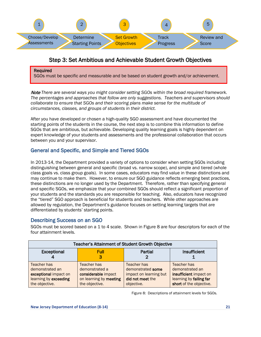<span id="page-20-3"></span>

# Step 3: Set Ambitious and Achievable Student Growth Objectives

#### <span id="page-20-0"></span>Required

SGOs must be specific and measurable and be based on student growth and/or achievement.

Note *There are several ways you might consider setting SGOs within the broad required framework. The percentages and approaches that follow are only suggestions. Teachers and supervisors should collaborate to ensure that SGOs and their scoring plans make sense for the multitude of circumstances, classes, and groups of students in their district.*

After you have developed or chosen a high-quality SGO assessment and have documented the starting points of the students in the course, the next step is to combine this information to define SGOs that are ambitious, but achievable. Developing quality learning goals is highly dependent on expert knowledge of your students and assessments and the professional collaboration that occurs between you and your supervisor.

## <span id="page-20-1"></span>General and Specific, and Simple and Tiered SGOs

In 2013-14, the Department provided a variety of options to consider when setting SGOs including distinguishing between general and specific (broad vs. narrow scope), and simple and tiered (whole class goals vs. class group goals). In some cases, educators may find value in these distinctions and may continue to make them. However, to ensure our SGO guidance reflects emerging best practices, these distinctions are no longer used by the Department. Therefore, rather than specifying general and specific SGOs, we emphasize that your combined SGOs should reflect a significant proportion of your students and the standards you are responsible for teaching. Also, educators have recognized the "tiered" SGO approach is beneficial for students and teachers. While other approaches are allowed by regulation, the Department's guidance focuses on setting learning targets that are differentiated by students' starting points.

## <span id="page-20-2"></span>Describing Success on an SGO

SGOs must be scored based on a 1 to 4 scale. Shown in Figure 8 are four descriptors for each of the four attainment levels.

| <b>Teacher's Attainment of Student Growth Objective</b>                                            |                                                                                                  |                                                                                              |                                                                                                                |  |  |  |
|----------------------------------------------------------------------------------------------------|--------------------------------------------------------------------------------------------------|----------------------------------------------------------------------------------------------|----------------------------------------------------------------------------------------------------------------|--|--|--|
| Insufficient<br>Exceptional<br><b>Full</b><br>Partial<br>з                                         |                                                                                                  |                                                                                              |                                                                                                                |  |  |  |
| Teacher has<br>demonstrated an<br>exceptional impact on<br>learning by exceeding<br>the objective. | Teacher has<br>demonstrated a<br>considerable impact<br>on learning by meeting<br>the objective. | Teacher has<br>demonstrated some<br>impact on learning but<br>did not meet the<br>objective. | Teacher has<br>demonstrated an<br>insufficient impact on<br>learning by falling far<br>short of the objective. |  |  |  |

Figure 8: Descriptions of attainment levels for SGOs.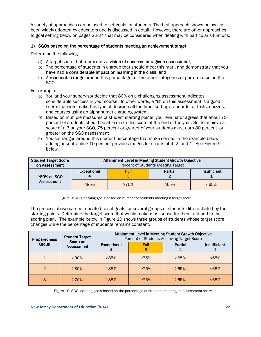A variety of approaches can be used to set goals for students. The first approach shown below has been widely adopted by educators and is discussed in detail. However, there are other approaches to goal setting below on pages 22-24 that may be considered when dealing with particular situations.

## 1) SGOs based on the percentage of students meeting an achievement target

Determine the following:

- a) A target score that represents a vision of success for a given assessment;
- b) The percentage of students in a group that should meet this mark and demonstrate that you have had a considerable impact on learning in the class; and
- c) A reasonable range around this percentage for the other categories of performance on the SGO.

For example:

- a) You and your supervisor decide that 80% on a challenging assessment indicates considerable success in your course. In other words, a "B" on this assessment is a good score; teachers make this type of decision all the time, setting standards for tests, quizzes, and courses using an alphanumeric grading system.
- b) Based on multiple measures of student starting points, your evaluator agrees that about 75 percent of students should be able make this score at the end of the year. So, to achieve a score of a 3 on your SGO, 75 percent or greater of your students must earn 80 percent or greater on the SGO assessment
- c) You set ranges around this student percentage that make sense. In the example below, adding or subtracting 10 percent provides ranges for scores of 4, 2, and 1. See Figure 9 below.

| <b>Student Target Score</b><br>on Assessment | Attainment Level in Meeting Student Growth Objective<br>Percent of Students Meeting Target |                  |             |              |  |  |
|----------------------------------------------|--------------------------------------------------------------------------------------------|------------------|-------------|--------------|--|--|
| $\geq$ 80% on SGO<br>Assessment              | Exceptional                                                                                | <b>Full</b><br>3 | Partial     | Insufficient |  |  |
|                                              | $\geq 85\%$                                                                                | >75%             | $\geq 65\%$ | <65%         |  |  |

Figure 9: SGO learning goals based on number of students meeting a target score.

The process above can be repeated to set goals for several groups of students differentiated by their starting points. Determine the target score that would make most sense for them and add to the scoring plan. The example below in Figure 10 shows three groups of students whose target score changes while the percentage of students remains constant.

| Preparedness  | <b>Student Target</b><br>Score on | Attainment Level in Meeting Student Growth Objective<br>Percent of Students Achieving Target Score |                  |             |              |  |
|---------------|-----------------------------------|----------------------------------------------------------------------------------------------------|------------------|-------------|--------------|--|
| Group         | Assessment                        | Exceptional                                                                                        | <b>Full</b><br>з | Partial     | Insufficient |  |
|               | $\geq 90\%$                       | 285%                                                                                               | $\geq 75\%$      | $\geq 65\%$ | $<65\%$      |  |
| $\mathcal{D}$ | $\geq 80\%$                       | $\geq 85\%$                                                                                        | >75%             | $\geq 65\%$ | $~5\%$       |  |
| З             | $\geq 70\%$                       | $\geq 85\%$                                                                                        | $\geq 75\%$      | $\geq 65\%$ | <65%         |  |

Figure 10: SGO learning goals based on the percentage of students meeting an assessment score.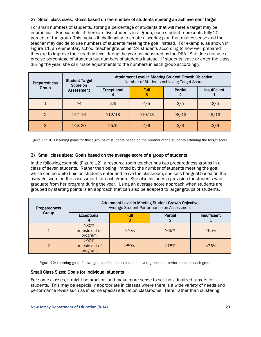## 2) Small class sizes: Goals based on the number of students meeting an achievement target

For small numbers of students, stating a percentage of students that will meet a target may be impractical. For example, if there are five students in a group, each student represents fully 20 percent of the group. This makes it challenging to create a scoring plan that makes sense and the teacher may decide to use numbers of students meeting the goal instead. For example, as shown in Figure 11, an elementary school teacher groups her 24 students according to how well prepared they are to improve their reading level during the year as measured by the DRA. She does not use a precise percentage of students but numbers of students instead. If students leave or enter the class during the year, she can make adjustments to the numbers in each group accordingly.

| Preparedness   | <b>Student Target</b><br>Score on | Attainment Level in Meeting Student Growth Objective<br>Number of Students Achieving Target Score |                  |              |                     |  |
|----------------|-----------------------------------|---------------------------------------------------------------------------------------------------|------------------|--------------|---------------------|--|
| Group          | Assessment                        | Exceptional                                                                                       | <b>Full</b><br>3 | Partial<br>2 | <b>Insufficient</b> |  |
|                | $\geq 4$                          | 5/5                                                                                               | 4/5              | 3/5          | <3/5                |  |
| $\overline{2}$ | $\geq$ 14-16                      | $\geq$ 12/13                                                                                      | $\geq 10/13$     | $\geq 8/13$  | <8/13               |  |
| 3              | $\geq$ 18-20                      | $\geq 5/6$                                                                                        | 4/6              | 3/6          | <3/6                |  |

Figure 11: SGO learning goals for three groups of students based on the number of the students attaining the target score.

#### 3) Small class sizes: Goals based on the average score of a group of students

In the following example (Figure 12), a resource room teacher has two preparedness groups in a class of seven students. Rather than being limited by the number of students meeting the goal, which can be quite fluid as students enter and leave the classroom, she sets her goal based on the average score on the assessment for each group. She also includes a provision for students who graduate from her program during the year. Using an average score approach when students are grouped by starting points is an approach that can also be adapted to larger groups of students.

| <b>Preparedness</b> | Attainment Level in Meeting Student Growth Objective<br>Average Student Performance on Assessment |             |             |              |  |  |
|---------------------|---------------------------------------------------------------------------------------------------|-------------|-------------|--------------|--|--|
| Group               | <b>Exceptional</b>                                                                                | <b>Full</b> | Partial     | Insufficient |  |  |
|                     | $\geq 80\%$<br>or tests out of<br>program                                                         | $\geq 70\%$ | $\geq 65\%$ | < 65%        |  |  |
| າ                   | $\geq 90\%$<br>or tests out of<br>program                                                         | $\geq 80\%$ | $\geq 75\%$ | $~14.75\%$   |  |  |

Figure 12: Learning goals for two groups of students based on average student performance in each group.

#### Small Class Sizes: Goals for Individual students

For some classes, it might be practical and make more sense to set individualized targets for students. This may be especially appropriate in classes where there is a wide variety of needs and performance levels such as in some special education classrooms. Here, rather than clustering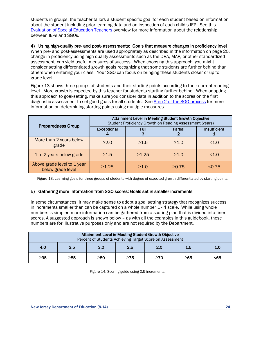students in groups, the teacher tailors a student specific goal for each student based on information about the student including prior learning data and an inspection of each child's IEP. See this [Evaluation of Special Education Teachers](http://www.state.nj.us/education/AchieveNJ/teacher/SpecialEducatorOverview.pdf) overview for more information about the relationship between IEPs and SGOs.

#### 4) Using high-quality pre- and post- assessments: Goals that measure changes in proficiency level

When pre- and post-assessments are used appropriately as described in the information on page 20, change in proficiency using high-quality assessments such as the DRA, MAP, or other standardized assessment, can yield useful measures of success. When choosing this approach, you might consider setting differentiated growth goals recognizing that some students are further behind than others when entering your class. Your SGO can focus on bringing these students closer or up to grade level.

Figure 13 shows three groups of students and their starting points according to their current reading level. More growth is expected by this teacher for students starting further behind. When adopting this approach to goal-setting, make sure you consider data in addition to the scores on the first diagnostic assessment to set good goals for all students. See [Step 2 of the SGO process](#page-16-3) for more information on determining starting points using multiple measures.

| <b>Preparedness Group</b>                        | Attainment Level in Meeting Student Growth Objective<br>Student Proficiency Growth on Reading Assessment (years) |             |             |              |  |  |
|--------------------------------------------------|------------------------------------------------------------------------------------------------------------------|-------------|-------------|--------------|--|--|
|                                                  | Exceptional                                                                                                      | <b>Full</b> | Partial     | Insufficient |  |  |
| More than 2 years below<br>grade                 | >2.0                                                                                                             | >1.5        | >1.0        | < 1.0        |  |  |
| 1 to 2 years below grade                         | $\geq 1.5$                                                                                                       | $\geq 1.25$ | $\geq 1.0$  | ~1.0         |  |  |
| Above grade level to 1 year<br>below grade level | >1.25                                                                                                            | $\geq 1.0$  | $\geq 0.75$ | 50.75        |  |  |

Figure 13: Learning goals for three groups of students with degree of expected growth differentiated by starting points.

#### 5) Gathering more Information from SGO scores: Goals set in smaller increments

In some circumstances, it may make sense to adopt a goal setting strategy that recognizes success in increments smaller than can be captured on a whole number 1 - 4 scale. While using whole numbers is simpler, more information can be gathered from a scoring plan that is divided into finer scores. A suggested approach is shown below – as with all the examples in this guidebook, these numbers are for illustrative purposes only and are not required by the Department.

| Attainment Level in Meeting Student Growth Objective<br>Percent of Students Achieving Target Score on Assessment |                                 |           |           |     |     |     |  |
|------------------------------------------------------------------------------------------------------------------|---------------------------------|-----------|-----------|-----|-----|-----|--|
| 4.0                                                                                                              | 3.5<br>3.0<br>1.5<br>2.0<br>2.5 |           |           |     |     | 1.0 |  |
| ≥95                                                                                                              | ≥85                             | $\geq 80$ | $\geq$ 75 | 270 | ≥65 | <65 |  |

Figure 14: Scoring guide using 0.5 increments.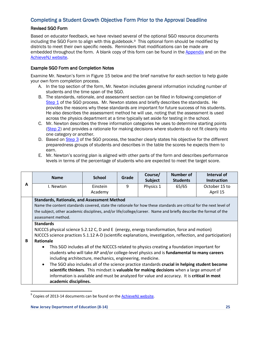## <span id="page-24-0"></span>Completing a Student Growth Objective Form Prior to the Approval Deadline

#### Revised SGO Form

Based on educator feedback, we have revised several of the optional SGO resource documents including the SGO Form to align with this guidebook.[9](#page-24-1) This optional form should be modified by districts to meet their own specific needs. Reminders that modifications can be made are embedded throughout the form. A blank copy of this form can be found in th[e Appendix](#page-32-0) and on the [AchieveNJ website.](http://www.state.nj.us/education/AchieveNJ/teacher/2014-15StudentGrowthObjectiveForm.pdf)

#### Example SGO Form and Completion Notes

Examine Mr. Newton's form in Figure 15 below and the brief narrative for each section to help guide your own form completion process.

- A. In the top section of the form, Mr. Newton includes general information including number of students and the time span of the SGO.
- B. The standards, rationale, and assessment section can be filled in following completion of [Step 1](#page-11-3) of the SGO process. Mr. Newton states and briefly describes the standards. He provides the reasons why these standards are important for future success of his students. He also describes the assessment method he will use, noting that the assessment is used across the physics department at a time typically set aside for testing in the school.
- C. Mr. Newton describes the three information categories he uses to determine starting points [\(Step 2\)](#page-16-3) and provides a rationale for making decisions where students do not fit cleanly into one category or another.
- D. Based on [Step 3](#page-20-0) of the SGO process, the teacher clearly states his objective for the different preparedness groups of students and describes in the table the scores he expects them to earn.
- E. Mr. Newton's scoring plan is aligned with other parts of the form and describes performance levels in terms of the percentage of students who are expected to meet the target score.

|   | <b>Name</b>                                                                                                                                                                                                                                                                                                                                                                                                                                                                                                                                                                                                                                                                                                                                                                                                                 | <b>School</b> | Grade | Course/<br><b>Subject</b> | Number of<br><b>Students</b> | Interval of<br><b>Instruction</b> |  |  |
|---|-----------------------------------------------------------------------------------------------------------------------------------------------------------------------------------------------------------------------------------------------------------------------------------------------------------------------------------------------------------------------------------------------------------------------------------------------------------------------------------------------------------------------------------------------------------------------------------------------------------------------------------------------------------------------------------------------------------------------------------------------------------------------------------------------------------------------------|---------------|-------|---------------------------|------------------------------|-----------------------------------|--|--|
| A | I. Newton                                                                                                                                                                                                                                                                                                                                                                                                                                                                                                                                                                                                                                                                                                                                                                                                                   | Einstein      | 9     | Physics 1                 | 65/65                        | October 15 to                     |  |  |
|   |                                                                                                                                                                                                                                                                                                                                                                                                                                                                                                                                                                                                                                                                                                                                                                                                                             | Academy       |       |                           |                              | April 15                          |  |  |
|   | <b>Standards, Rationale, and Assessment Method</b><br>Name the content standards covered, state the rationale for how these standards are critical for the next level of<br>the subject, other academic disciplines, and/or life/college/career. Name and briefly describe the format of the<br>assessment method.                                                                                                                                                                                                                                                                                                                                                                                                                                                                                                          |               |       |                           |                              |                                   |  |  |
| B | <b>Standards</b><br>NJCCCS physical science 5.2.12 C, D and E (energy, energy transformation, force and motion)<br>NJCCCS science practices 5.1.12 A-D (scientific explanations, investigation, reflection, and participation)<br>Rationale<br>This SGO includes all of the NJCCCS related to physics creating a foundation important for<br>$\bullet$<br>students who will take AP and/or college-level physics and is fundamental to many careers<br>including architecture, mechanics, engineering, medicine.<br>The SGO also includes all of the science practice standards crucial in helping student become<br>$\bullet$<br>scientific thinkers. This mindset is valuable for making decisions when a large amount of<br>information is available and must be analyzed for value and accuracy. It is critical in most |               |       |                           |                              |                                   |  |  |

<span id="page-24-1"></span> $^{9}$  Copies of 2013-14 documents can be found on the [AchieveNJ website.](http://highpoint.state.nj.us/education/AchieveNJ/resources/scoring/1415nonmSGPsummaryform.docx)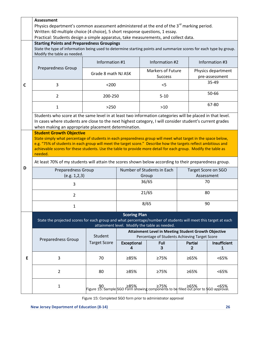|   | <b>Assessment</b><br>Physics department's common assessment administered at the end of the 3 <sup>rd</sup> marking period.<br>Written: 60 multiple choice (4 choice), 5 short response questions, 1 essay.<br>Practical: Students design a simple apparatus, take measurements, and collect data.                                                                                                |                                                    |                     |                                                                                                                                                               |              |                                      |  |  |
|---|--------------------------------------------------------------------------------------------------------------------------------------------------------------------------------------------------------------------------------------------------------------------------------------------------------------------------------------------------------------------------------------------------|----------------------------------------------------|---------------------|---------------------------------------------------------------------------------------------------------------------------------------------------------------|--------------|--------------------------------------|--|--|
|   | <b>Starting Points and Preparedness Groupings</b><br>State the type of information being used to determine starting points and summarize scores for each type by group.<br>Modify the table as needed.                                                                                                                                                                                           |                                                    |                     |                                                                                                                                                               |              |                                      |  |  |
|   |                                                                                                                                                                                                                                                                                                                                                                                                  | Information #1<br>Information #2<br>Information #3 |                     |                                                                                                                                                               |              |                                      |  |  |
|   | <b>Preparedness Group</b>                                                                                                                                                                                                                                                                                                                                                                        | Grade 8 math NJ ASK                                |                     | <b>Markers of Future</b><br><b>Success</b>                                                                                                                    |              | Physics department<br>pre-assessment |  |  |
| C | 3                                                                                                                                                                                                                                                                                                                                                                                                | $200$                                              |                     | $<$ 5                                                                                                                                                         |              | 35-49                                |  |  |
|   | $\overline{2}$                                                                                                                                                                                                                                                                                                                                                                                   | 200-250                                            |                     | $5 - 10$                                                                                                                                                      |              | 50-66                                |  |  |
|   | $\mathbf{1}$                                                                                                                                                                                                                                                                                                                                                                                     | >250                                               |                     | $>10$                                                                                                                                                         |              | 67-80                                |  |  |
|   | Students who score at the same level in at least two information categories will be placed in that level.<br>In cases where students are close to the next highest category, I will consider student's current grades<br>when making an appropriate placement determination.                                                                                                                     |                                                    |                     |                                                                                                                                                               |              |                                      |  |  |
|   | <b>Student Growth Objective</b><br>State simply what percentage of students in each preparedness group will meet what target in the space below,<br>e.g. "75% of students in each group will meet the target score." Describe how the targets reflect ambitious and<br>achievable scores for these students. Use the table to provide more detail for each group. Modify the table as<br>needed. |                                                    |                     |                                                                                                                                                               |              |                                      |  |  |
|   | At least 70% of my students will attain the scores shown below according to their preparedness group.                                                                                                                                                                                                                                                                                            |                                                    |                     |                                                                                                                                                               |              |                                      |  |  |
| D | Preparedness Group<br>(e.g. 1, 2, 3)                                                                                                                                                                                                                                                                                                                                                             |                                                    |                     | Number of Students in Each<br>Group                                                                                                                           |              | Target Score on SGO<br>Assessment    |  |  |
|   | 3                                                                                                                                                                                                                                                                                                                                                                                                |                                                    |                     | 36/65                                                                                                                                                         |              | 70                                   |  |  |
|   | $\overline{2}$                                                                                                                                                                                                                                                                                                                                                                                   |                                                    | 21/65               |                                                                                                                                                               | 80           |                                      |  |  |
|   | 1                                                                                                                                                                                                                                                                                                                                                                                                |                                                    | 8/65                |                                                                                                                                                               |              | 90                                   |  |  |
|   | State the projected scores for each group and what percentage/number of students will meet this target at each                                                                                                                                                                                                                                                                                   |                                                    | <b>Scoring Plan</b> | attainment level. Modify the table as needed.                                                                                                                 |              |                                      |  |  |
|   |                                                                                                                                                                                                                                                                                                                                                                                                  | Student                                            |                     | Attainment Level in Meeting Student Growth Objective<br>Percentage of Students Achieving Target Score                                                         |              |                                      |  |  |
|   | <b>Preparedness Group</b>                                                                                                                                                                                                                                                                                                                                                                        | <b>Target Score</b>                                | Exceptional<br>4    | <b>Full</b><br>3                                                                                                                                              | Partial<br>2 | Insufficient<br>1                    |  |  |
| E | 3                                                                                                                                                                                                                                                                                                                                                                                                | 70                                                 | ≥85%                | ≥75%                                                                                                                                                          | ≥65%         | <65%                                 |  |  |
|   | $\overline{2}$                                                                                                                                                                                                                                                                                                                                                                                   | 80                                                 | ≥85%                | ≥75%                                                                                                                                                          | ≥65%         | <65%                                 |  |  |
|   | $\mathbf{1}$                                                                                                                                                                                                                                                                                                                                                                                     |                                                    |                     | 90 (S5% – 285% – 275% – 265% – 265% – 57% – 90 (S5% – 265% – 57%)<br>  Figure 15: Sample SGO Form showing components to be filled out prior to \$GO approval. |              |                                      |  |  |

Figure 15: Completed SGO form prior to administrator approval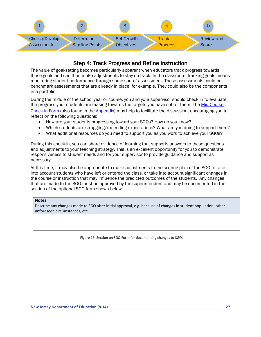

# Step 4: Track Progress and Refine Instruction

<span id="page-26-0"></span>The value of goal-setting becomes particularly apparent when educators track progress towards these goals and can then make adjustments to stay on track. In the classroom, tracking goals means monitoring student performance through some sort of assessment. These assessments could be benchmark assessments that are already in place, for example. They could also be the components in a portfolio.

During the middle of the school year or course, you and your supervisor should check in to evaluate the progress your students are making towards the targets you have set for them. The Mid-Course [Check-in Form](http://www.state.nj.us/education/AchieveNJ/teacher/forms/SGO4-1.pdf) (also found in the Appendix) may help to facilitate the discussion, encouraging you to reflect on the following questions:

- How are your students progressing toward your SGOs? How do you know?
- Which students are struggling/exceeding expectations? What are you doing to support them?
- What additional resources do you need to support you as you work to achieve your SGOs?

During this check-in, you can share evidence of learning that supports answers to these questions and adjustments to your teaching strategy. This is an excellent opportunity for you to demonstrate responsiveness to student needs and for your supervisor to provide guidance and support as necessary.

At this time, it may also be appropriate to make adjustments to the scoring plan of the SGO to take into account students who have left or entered the class, or take into account significant changes in the course or instruction that may influence the predicted outcomes of the students. Any changes that are made to the SGO must be approved by the superintendent and may be documented in the section of the optional SGO form shown below.

#### **Notes**

Describe any changes made to SGO after initial approval, e.g. because of changes in student population, other unforeseen circumstances, etc.

Figure 16: Section on SGO Form for documenting changes to SGO.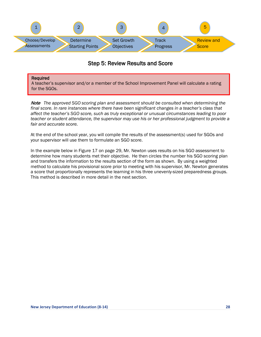<span id="page-27-2"></span><span id="page-27-1"></span>

# Step 5: Review Results and Score

#### <span id="page-27-0"></span>Required

ł

A teacher's supervisor and/or a member of the School Improvement Panel will calculate a rating for the SGOs.

Note *The approved SGO scoring plan and assessment should be consulted when determining the final score. In rare instances where there have been significant changes in a teacher's class that affect the teacher's SGO score, such as truly exceptional or unusual circumstances leading to poor teacher or student attendance, the supervisor may use his or her professional judgment to provide a fair and accurate score.*

At the end of the school year, you will compile the results of the assessment(s) used for SGOs and your supervisor will use them to formulate an SGO score.

In the example below in Figure 17 on page 29, Mr. Newton uses results on his SGO assessment to determine how many students met their objective. He then circles the number his SGO scoring plan and transfers the information to the results section of the form as shown. By using a weighted method to calculate his provisional score prior to meeting with his supervisor, Mr. Newton generates a score that proportionally represents the learning in his three unevenly-sized preparedness groups. This method is described in more detail in the next section.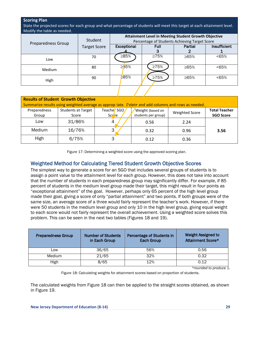**Scoring Plan**

State the projected scores for each group and what percentage of students will meet this target at each attainment level. Modify the table as needed.

| <b>Preparedness Group</b> | Student             | <b>Attainment Level in Meeting Student Growth Objective</b><br>Percentage of Students Achieving Target Score |             |             |              |  |
|---------------------------|---------------------|--------------------------------------------------------------------------------------------------------------|-------------|-------------|--------------|--|
|                           | <b>Target Score</b> | Exceptional                                                                                                  | Full        | Partial     | Insufficient |  |
| Low                       | 70                  | ≥85%                                                                                                         | $\geq 75\%$ | $\geq 65\%$ | < 65%        |  |
| <b>Medium</b>             | 80                  | ≥85%                                                                                                         | $\geq 75\%$ | $\geq 65\%$ | < 65%        |  |
| High                      | 90                  | ≿85%                                                                                                         | ≥75%        | ≥65%        | < 65%        |  |
|                           |                     |                                                                                                              |             |             |              |  |

| <b>Results of Student Growth Objective</b><br>Summarize results using weighted average as appropriate. Delete and add columns and rows as needed. |                                    |                                  |                                         |                       |                                          |  |  |
|---------------------------------------------------------------------------------------------------------------------------------------------------|------------------------------------|----------------------------------|-----------------------------------------|-----------------------|------------------------------------------|--|--|
|                                                                                                                                                   |                                    |                                  |                                         |                       |                                          |  |  |
| Preparedness<br>Group                                                                                                                             | <b>Students at Target</b><br>Score | Teache <sub>r</sub> SGO<br>Sodre | Weight (based on<br>students per group) | <b>Weighted Score</b> | <b>Total Teacher</b><br><b>SGO Score</b> |  |  |
| Low                                                                                                                                               | 31/86%                             |                                  | 0.56                                    | 2.24                  |                                          |  |  |
| Medium                                                                                                                                            | 16/76%                             | 3                                | 0.32                                    | 0.96                  | 3.56                                     |  |  |
| High                                                                                                                                              | 6/75%                              | 3                                | 0.12                                    | 0.36                  |                                          |  |  |

Figure 17: Determining a weighted score using the approved scoring plan.

## <span id="page-28-0"></span>Weighted Method for Calculating Tiered Student Growth Objective Scores

The simplest way to generate a score for an SGO that includes several groups of students is to assign a point value to the attainment level for each group. However, this does not take into account that the number of students in each preparedness group may significantly differ. For example, if 85 percent of students in the medium level group made their target, this might result in four points as "exceptional attainment" of the goal. However, perhaps only 65 percent of the high level group made their goal, giving a score of only "partial attainment" and two points. If both groups were of the same size, an average score of a three would fairly represent the teacher's work. However, if there were 50 students in the medium level group and only 10 in the high level group, giving equal weight to each score would not fairly represent the overall achievement. Using a weighted score solves this problem. This can be seen in the next two tables (Figures 18 and 19).

| <b>Number of Students</b><br><b>Preparedness Group</b><br>in Each Group |       | Percentage of Students in<br><b>Each Group</b> | <b>Weight Assigned to</b><br>Attainment Score* |
|-------------------------------------------------------------------------|-------|------------------------------------------------|------------------------------------------------|
| LOW.                                                                    | 36/65 | 56%                                            | 0.56                                           |
| Medium                                                                  | 21/65 | 32%                                            | 0.32                                           |
| High                                                                    | 8/65  | 12%                                            | 0.12                                           |

*\*rounded to produce 1.* 

Figure 18: Calculating weights for attainment scores based on proportion of students.

The calculated weights from Figure 18 can then be applied to the straight scores obtained, as shown in Figure 19.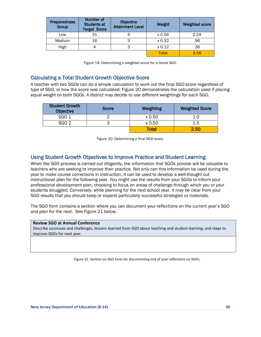| <b>Preparedness</b><br>Group | Number of<br><b>Students at</b><br><b>Target Score</b> | Objective<br><b>Attainment Level</b> | Weight       | <b>Weighted score</b> |
|------------------------------|--------------------------------------------------------|--------------------------------------|--------------|-----------------------|
| Low                          | 31                                                     |                                      | x 0.56       | 2.24                  |
| Medium                       | 16                                                     | 3                                    | x 0.32       | .96                   |
| High                         |                                                        | っ                                    | x 0.12       | .36                   |
|                              |                                                        |                                      | <b>Total</b> | 3.56                  |

Figure 19: Determining a weighted score for a tiered SGO.

## <span id="page-29-0"></span>Calculating a Total Student Growth Objective Score

A teacher with two SGOs can do a simple calculation to work out the final SGO score regardless of type of SGO, or how the score was calculated. Figure 20 demonstrates the calculation used if placing equal weight on both SGOs. A district may decide to use different weightings for each SGO.

| <b>Student Growth</b><br><b>Objective</b> | Score | Weighting    | <b>Weighted Score</b> |
|-------------------------------------------|-------|--------------|-----------------------|
| SGO 1                                     |       | x 0.50       |                       |
| <b>SGO 2</b>                              |       | x 0.50       | 1.5                   |
|                                           |       | <b>Total</b> | 2.50                  |

Figure 20: Determining a final SGO score.

## <span id="page-29-1"></span>Using Student Growth Objectives to Improve Practice and Student Learning

When the SGO process is carried out diligently, the information that SGOs provide will be valuable to teachers who are seeking to improve their practice. Not only can this information be used during the year to make course corrections in instruction, it can be used to develop a well-thought out instructional plan for the following year. You might use the results from your SGOs to inform your professional development plan, choosing to focus on areas of challenge through which you or your students struggled. Conversely, while planning for the next school year, it may be clear from your SGO results that you should keep or expand particularly successful strategies or materials.

The SGO form contains a section where you can document your reflections on the current year's SGO and plan for the next. See Figure 21 below.

#### **Review SGO at Annual Conference**

Describe successes and challenges, lessons learned from SGO about teaching and student learning, and steps to improve SGOs for next year.

Figure 21: Section on SGO form for documenting end of year reflections on SGOs.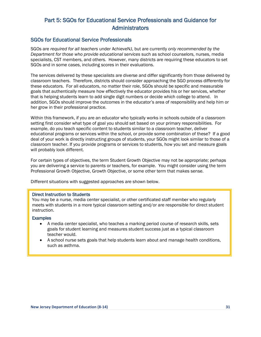# <span id="page-30-0"></span>Part 5: SGOs for Educational Service Professionals and Guidance for **Administrators**

## <span id="page-30-1"></span>SGOs for Educational Service Professionals

SGOs are *required for all teachers* under AchieveNJ, but are currently *only recommended by the Department for those who provide educational services* such as school counselors, nurses, media specialists, CST members, and others. However, many districts are requiring these educators to set SGOs and in some cases, including scores in their evaluations.

The services delivered by these specialists are diverse and differ significantly from those delivered by classroom teachers. Therefore, districts should consider approaching the SGO process differently for these educators. For all educators, no matter their role, SGOs should be specific and measurable goals that authentically measure how effectively the educator provides his or her services, whether that is helping students learn to add single digit numbers or decide which college to attend. In addition, SGOs should improve the outcomes in the educator's area of responsibility and help him or her grow in their professional practice.

Within this framework, if you are an educator who typically works in schools outside of a classroom setting first consider what type of goal you should set based on your primary responsibilities. For example, do you teach specific content to students similar to a classroom teacher, deliver educational programs or services within the school, or provide some combination of these? If a good deal of your work is directly instructing groups of students, your SGOs might look similar to those of a classroom teacher. If you provide programs or services to students, how you set and measure goals will probably look different.

For certain types of objectives, the term Student Growth Objective may not be appropriate; perhaps you are delivering a service to parents or teachers, for example. You might consider using the term Professional Growth Objective, Growth Objective, or some other term that makes sense.

Different situations with suggested approaches are shown below.

#### Direct Instruction to Students

You may be a nurse, media center specialist, or other certificated staff member who regularly meets with students in a more typical classroom setting and/or are responsible for direct student instruction.

#### **Examples**

- A media center specialist, who teaches a marking period course of research skills, sets goals for student learning and measures student success just as a typical classroom teacher would.
- A school nurse sets goals that help students learn about and manage health conditions, such as asthma.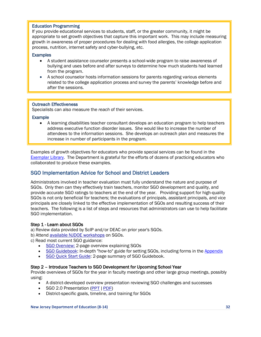#### Education Programming

If you provide educational services to students, staff, or the greater community, it might be appropriate to set growth objectives that capture this important work. This may include measuring growth in awareness of proper procedures for dealing with food allergies, the college application process, nutrition, internet safety and cyber-bullying, etc.

#### **Examples**

- A student assistance counselor presents a school-wide program to raise awareness of bullying and uses before and after surveys to determine how much students had learned from the program.
- A school counselor hosts information sessions for parents regarding various elements related to the college application process and survey the parents' knowledge before and after the sessions.

#### Outreach Effectiveness

Specialists can also measure the *reach* of their services.

#### Example

• A learning disabilities teacher consultant develops an education program to help teachers address executive function disorder issues. She would like to increase the number of attendees to the information sessions. She develops an outreach plan and measures the increase in number of participants in the program.

Examples of growth objectives for educators who provide special services can be found in the [Exemplar Library.](http://www.state.nj.us/education/AchieveNJ/teacher/exemplars.shtml) The Department is grateful for the efforts of dozens of practicing educators who collaborated to produce these examples.

## <span id="page-31-0"></span>SGO Implementation Advice for School and District Leaders

Administrators involved in teacher evaluation must fully understand the nature and purpose of SGOs. Only then can they effectively train teachers, monitor SGO development and quality, and provide accurate SGO ratings to teachers at the end of the year. Providing support for high-quality SGOs is not only beneficial for teachers; the evaluations of principals, assistant principals, and vice principals are closely linked to the effective implementation of SGOs and resulting success of their teachers. The following is a list of steps and resources that administrators can use to help facilitate SGO implementation.

## Step 1 - Learn about SGOs

a) Review data provided by ScIP and/or DEAC on prior year's SGOs.

- b) Attend [available NJDOE workshops](http://www.state.nj.us/education/AchieveNJ/resources/events.shtml) on SGOs.
- c) Read most current SGO guidance:
	- [SGO Overview:](http://www.state.nj.us/education/AchieveNJ/teacher/SGOOverview.pdf) 2-page overview explaining SGOs
	- [SGO Guidebook:](http://www.state.nj.us/education/AchieveNJ/teacher/SGOGuidebook.pdf) In-depth "how-to" guide for setting SGOs, including forms in the [Appendix](#page-33-0)
	- [SGO Quick Start Guide:](http://www.state.nj.us/education/AchieveNJ/teacher/objectives.shtml) 2-page summary of SGO Guidebook.

#### Step 2 – Introduce Teachers to SGO Development for Upcoming School Year

Provide overviews of SGOs for the year in faculty meetings and other large group meetings, possibly using:

- A district-developed overview presentation reviewing SGO challenges and successes
- SGO 2.0 Presentation [\(PPT](http://www.state.nj.us/education/AchieveNJ/teacher/SGO20FromCompliancetoQuality.pptx) | [PDF\)](http://www.state.nj.us/education/AchieveNJ/teacher/SGO20FromCompliancetoQuality.pdf)
- District-specific goals, timeline, and training for SGOs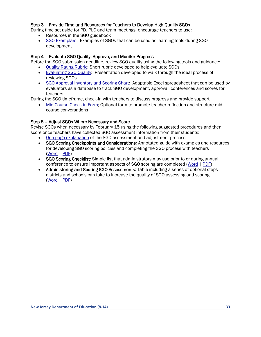#### Step 3 – Provide Time and Resources for Teachers to Develop High-Quality SGOs

During time set aside for PD, PLC and team meetings, encourage teachers to use:

- Resources in the SGO guidebook
- [SGO Exemplars:](http://www.state.nj.us/education/AchieveNJ/teacher/exemplars.shtml) Examples of SGOs that can be used as learning tools during SGO development

#### Step 4 – Evaluate SGO Quality, Approve, and Monitor Progress

Before the SGO submission deadline, review SGO quality using the following tools and guidance:

- [Quality Rating Rubric:](http://www.state.nj.us/education/AchieveNJ/teacher/SGOQualityRatingRubric.pdf) Short rubric developed to help evaluate SGOs
- [Evaluating SGO Quality:](http://www.state.nj.us/education/AchieveNJ/teacher/SGOQualityAssessment.pdf) Presentation developed to walk through the ideal process of reviewing SGOs
- [SGO Approval Inventory and Scoring Chart:](http://www.state.nj.us/education/AchieveNJ/implementation/SGOApprovalInventoryandScoringChart.xlsx) Adaptable Excel spreadsheet that can be used by evaluators as a database to track SGO development, approval, conferences and scores for teachers

During the SGO timeframe, check-in with teachers to discuss progress and provide support:

• [Mid-Course Check-in Form;](http://www.state.nj.us/education/AchieveNJ/teacher/forms/SGO4-1.pdf) Optional form to promote teacher reflection and structure midcourse conversations

#### Step 5 – Adjust SGOs Where Necessary and Score

Revise SGOs when necessary by February 15 using the following suggested procedures and then score once teachers have collected SGO assessment information from their students:

- [One-page explanation](http://www.state.nj.us/education/AchieveNJ/teacher/AssessingandAdjustingSGOs.pdf) of the SGO assessment and adjustment process
- SGO Scoring Checkpoints and Considerations: Annotated guide with examples and resources for developing SGO scoring policies and completing the SGO process with teachers [\(Word](http://www.state.nj.us/education/AchieveNJ/resources/SGOScoringCheckpointsandConsiderations.docx) | [PDF\)](http://www.state.nj.us/education/AchieveNJ/resources/SGOScoringCheckpointsandConsiderations.pdf)
- SGO Scoring Checklist: Simple list that administrators may use prior to or during annual conference to ensure important aspects of SGO scoring are completed [\(Word](http://www.state.nj.us/education/AchieveNJ/resources/SGOScoringChecklist.docx) | [PDF\)](http://www.state.nj.us/education/AchieveNJ/resources/SGOScoringChecklist.pdf)
- <span id="page-32-0"></span>• Administering and Scoring SGO Assessments: Table including a series of optional steps districts and schools can take to increase the quality of SGO assessing and scoring [\(Word](http://www.state.nj.us/education/AchieveNJ/resources/AdministeringandScoringSGOAssessments.docx) | [PDF\)](http://www.state.nj.us/education/AchieveNJ/resources/AdministeringandScoringSGOAssessments.pdf)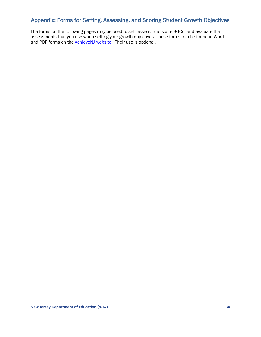# <span id="page-33-0"></span>Appendix: Forms for Setting, Assessing, and Scoring Student Growth Objectives

The forms on the following pages may be used to set, assess, and score SGOs, and evaluate the assessments that you use when setting your growth objectives. These forms can be found in Word and PDF forms on the **AchieveNJ website**. Their use is optional.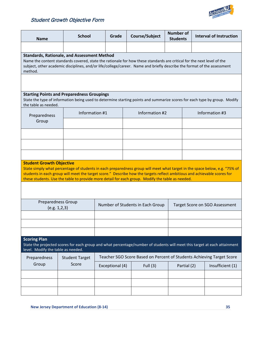

# Student Growth Objective Form

| <b>Name</b>                                                                                                                         | <b>School</b>                                                                                                                                                                                                                                                                                           | Grade                                                                 | Course/Subject                   | <b>Number of</b><br><b>Students</b> | <b>Interval of Instruction</b>                                                                                                                                                                                                                         |  |  |  |
|-------------------------------------------------------------------------------------------------------------------------------------|---------------------------------------------------------------------------------------------------------------------------------------------------------------------------------------------------------------------------------------------------------------------------------------------------------|-----------------------------------------------------------------------|----------------------------------|-------------------------------------|--------------------------------------------------------------------------------------------------------------------------------------------------------------------------------------------------------------------------------------------------------|--|--|--|
|                                                                                                                                     |                                                                                                                                                                                                                                                                                                         |                                                                       |                                  |                                     |                                                                                                                                                                                                                                                        |  |  |  |
| method.                                                                                                                             | <b>Standards, Rationale, and Assessment Method</b><br>Name the content standards covered, state the rationale for how these standards are critical for the next level of the<br>subject, other academic disciplines, and/or life/college/career. Name and briefly describe the format of the assessment |                                                                       |                                  |                                     |                                                                                                                                                                                                                                                        |  |  |  |
|                                                                                                                                     |                                                                                                                                                                                                                                                                                                         |                                                                       |                                  |                                     |                                                                                                                                                                                                                                                        |  |  |  |
| <b>Starting Points and Preparedness Groupings</b><br>the table as needed.                                                           |                                                                                                                                                                                                                                                                                                         |                                                                       |                                  |                                     | State the type of information being used to determine starting points and summarize scores for each type by group. Modify                                                                                                                              |  |  |  |
| Preparedness                                                                                                                        | Information #1                                                                                                                                                                                                                                                                                          |                                                                       | Information #2                   |                                     | Information #3                                                                                                                                                                                                                                         |  |  |  |
| Group                                                                                                                               |                                                                                                                                                                                                                                                                                                         |                                                                       |                                  |                                     |                                                                                                                                                                                                                                                        |  |  |  |
|                                                                                                                                     |                                                                                                                                                                                                                                                                                                         |                                                                       |                                  |                                     |                                                                                                                                                                                                                                                        |  |  |  |
|                                                                                                                                     |                                                                                                                                                                                                                                                                                                         |                                                                       |                                  |                                     |                                                                                                                                                                                                                                                        |  |  |  |
|                                                                                                                                     |                                                                                                                                                                                                                                                                                                         |                                                                       |                                  |                                     |                                                                                                                                                                                                                                                        |  |  |  |
| <b>Student Growth Objective</b><br>these students. Use the table to provide more detail for each group. Modify the table as needed. |                                                                                                                                                                                                                                                                                                         |                                                                       |                                  |                                     | State simply what percentage of students in each preparedness group will meet what target in the space below, e.g. "75% of<br>students in each group will meet the target score." Describe how the targets reflect ambitious and achievable scores for |  |  |  |
|                                                                                                                                     |                                                                                                                                                                                                                                                                                                         |                                                                       |                                  |                                     |                                                                                                                                                                                                                                                        |  |  |  |
| <b>Preparedness Group</b><br>(e.g. 1,2,3)                                                                                           |                                                                                                                                                                                                                                                                                                         |                                                                       | Number of Students in Each Group |                                     | Target Score on SGO Assessment                                                                                                                                                                                                                         |  |  |  |
|                                                                                                                                     |                                                                                                                                                                                                                                                                                                         |                                                                       |                                  |                                     |                                                                                                                                                                                                                                                        |  |  |  |
|                                                                                                                                     |                                                                                                                                                                                                                                                                                                         |                                                                       |                                  |                                     |                                                                                                                                                                                                                                                        |  |  |  |
| <b>Scoring Plan</b><br>level. Modify the table as needed.                                                                           |                                                                                                                                                                                                                                                                                                         |                                                                       |                                  |                                     | State the projected scores for each group and what percentage/number of students will meet this target at each attainment                                                                                                                              |  |  |  |
| Preparedness                                                                                                                        | <b>Student Target</b>                                                                                                                                                                                                                                                                                   | Teacher SGO Score Based on Percent of Students Achieving Target Score |                                  |                                     |                                                                                                                                                                                                                                                        |  |  |  |
| Group                                                                                                                               | Score                                                                                                                                                                                                                                                                                                   | Exceptional (4)                                                       | Full $(3)$                       | Partial (2)                         | Insufficient (1)                                                                                                                                                                                                                                       |  |  |  |
|                                                                                                                                     |                                                                                                                                                                                                                                                                                                         |                                                                       |                                  |                                     |                                                                                                                                                                                                                                                        |  |  |  |
|                                                                                                                                     |                                                                                                                                                                                                                                                                                                         |                                                                       |                                  |                                     |                                                                                                                                                                                                                                                        |  |  |  |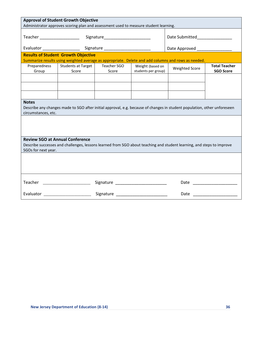|                                                                                                                                                                                        | <b>Approval of Student Growth Objective</b><br>Administrator approves scoring plan and assessment used to measure student learning. |                      |                                         |                                                                                                                          |                                          |
|----------------------------------------------------------------------------------------------------------------------------------------------------------------------------------------|-------------------------------------------------------------------------------------------------------------------------------------|----------------------|-----------------------------------------|--------------------------------------------------------------------------------------------------------------------------|------------------------------------------|
|                                                                                                                                                                                        |                                                                                                                                     |                      |                                         | Date Submitted________________                                                                                           |                                          |
|                                                                                                                                                                                        |                                                                                                                                     |                      |                                         | Date Approved ________________                                                                                           |                                          |
|                                                                                                                                                                                        | <b>Results of Student Growth Objective</b>                                                                                          |                      |                                         | Summarize results using weighted average as appropriate. Delete and add columns and rows as needed.                      |                                          |
| Preparedness<br>Group                                                                                                                                                                  | Students at Target<br>Score<br>$\mathcal{L}^{\text{max}}_{\text{max}}$                                                              | Teacher SGO<br>Score | Weight (based on<br>students per group) | <b>Weighted Score</b>                                                                                                    | <b>Total Teacher</b><br><b>SGO Score</b> |
|                                                                                                                                                                                        |                                                                                                                                     |                      |                                         |                                                                                                                          |                                          |
| <b>Notes</b><br>circumstances, etc.                                                                                                                                                    |                                                                                                                                     |                      |                                         | Describe any changes made to SGO after initial approval, e.g. because of changes in student population, other unforeseen |                                          |
|                                                                                                                                                                                        |                                                                                                                                     |                      |                                         |                                                                                                                          |                                          |
| <b>Review SGO at Annual Conference</b><br>Describe successes and challenges, lessons learned from SGO about teaching and student learning, and steps to improve<br>SGOs for next year. |                                                                                                                                     |                      |                                         |                                                                                                                          |                                          |
|                                                                                                                                                                                        |                                                                                                                                     |                      |                                         |                                                                                                                          |                                          |
|                                                                                                                                                                                        |                                                                                                                                     |                      |                                         |                                                                                                                          | Date ________________________            |
|                                                                                                                                                                                        |                                                                                                                                     |                      |                                         |                                                                                                                          |                                          |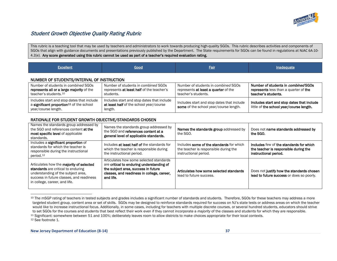<span id="page-36-2"></span><span id="page-36-1"></span><span id="page-36-0"></span>

# Student Growth Objective Quality Rating Rubric

This rubric is a teaching tool that may be used by teachers and administrators to work towards producing high-quality SGOs. This rubric describes activities and components of SGOs that align with guidance documents and presentations previously published by the Department. The State requirements for SGOs can be found in regulations at NJAC 6A:10-4.2(e). Any score generated using this rubric cannot be used as part of a teacher's required evaluation rating.

| <b>Excellent</b> | ______ | e an<br>78 I<br>____ | arra |
|------------------|--------|----------------------|------|
|                  |        |                      |      |

#### NUMBER OF STUDENTS/INTERVAL OF INSTRUCTION

| Number of students in combined SGOs                                                                                       | Number of students in combined SGOs                                                              | Number of students in combined SGOs                                                  | Number of students in <i>combined</i> SGOs                                             |
|---------------------------------------------------------------------------------------------------------------------------|--------------------------------------------------------------------------------------------------|--------------------------------------------------------------------------------------|----------------------------------------------------------------------------------------|
| represents all or a large majority of the                                                                                 | represents at least half of the teacher's                                                        | represents at least a quarter of the                                                 | represents less than a quarter of the                                                  |
| teacher's students. <sup>10</sup>                                                                                         | students.                                                                                        | teacher's students.                                                                  | teacher's students.                                                                    |
| Includes start and stop dates that include<br>a significant proportion <sup>11</sup> of the school<br>year/course length. | Includes start and stop dates that include<br>at least half of the school year/course<br>length. | Includes start and stop dates that include<br>some of the school year/course length. | Includes start and stop dates that include<br>little of the school year/course length. |

#### RATIONALE FOR STUDENT GROWTH OBJECTIVE/STANDARDS CHOSEN

| Names the standards group addressed by<br>the SGO and references content at the<br>most specific level of applicable<br>standards.                                                                | Names the standards group addressed by<br>the SGO and references content at a<br>general level of applicable standards.                                                                | Names the standards group addressed by<br>the SGO.                                                         | Does not name standards addressed by<br>the SGO.                                                          |
|---------------------------------------------------------------------------------------------------------------------------------------------------------------------------------------------------|----------------------------------------------------------------------------------------------------------------------------------------------------------------------------------------|------------------------------------------------------------------------------------------------------------|-----------------------------------------------------------------------------------------------------------|
| Includes a significant proportion of<br>standards for which the teacher is<br>responsible during the instructional<br>period. <sup>12</sup>                                                       | Includes at least half of the standards for<br>which the teacher is responsible during<br>the instructional period.                                                                    | Includes some of the standards for which<br>the teacher is responsible during the<br>instructional period. | Includes few of the standards for which<br>the teacher is responsible during the<br>instructional period. |
| Articulates how the majority of selected<br>standards are critical to enduring<br>understanding of the subject area,<br>success in future classes, and readiness<br>in college, career, and life. | Articulates how some selected standards<br>are critical to enduring understanding of<br>the subject area, success in future<br>classes, and readiness in college, career,<br>and life. | Articulates how some selected standards<br>lead to future success.                                         | Does not justify how the standards chosen<br>lead to future success or does so poorly.                    |

<sup>10</sup> The mSGP rating of teachers in tested subjects and grades includes a significant number of standards and students. Therefore, SGOs for these teachers may address a more targeted student group, content area or set of skills. SGOs may be designed to reinforce standards required for success on NJ's state tests or address areas on which the teacher would like to increase instructional focus. Additionally, in some cases, including for teachers with multiple discrete courses, or several hundred students, educators should strive to set SGOs for the courses and students that best reflect their work even if they cannot incorporate a *majority* of the classes and students for which they are responsible. 11 Significant: somewhere between 51 and 100%; deliberately leaves room to allow districts to make choices appropriate for their local contexts. <sup>12</sup> See footnote 1.

 $\overline{\phantom{a}}$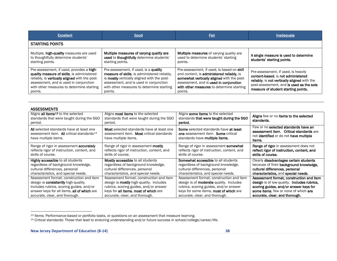<span id="page-37-1"></span><span id="page-37-0"></span>

| <b>Excellent</b>                                                                                                                                                                                                                            | Good                                                                                                                                                                                                                                   | Fair                                                                                                                                                                                                                                    | Inadequate                                                                                                                                                                                                   |
|---------------------------------------------------------------------------------------------------------------------------------------------------------------------------------------------------------------------------------------------|----------------------------------------------------------------------------------------------------------------------------------------------------------------------------------------------------------------------------------------|-----------------------------------------------------------------------------------------------------------------------------------------------------------------------------------------------------------------------------------------|--------------------------------------------------------------------------------------------------------------------------------------------------------------------------------------------------------------|
| <b>STARTING POINTS</b>                                                                                                                                                                                                                      |                                                                                                                                                                                                                                        |                                                                                                                                                                                                                                         |                                                                                                                                                                                                              |
| Multiple, high-quality measures are used<br>to thoughtfully determine students'<br>starting points.                                                                                                                                         | Multiple measures of varying quality are<br>used to thoughtfully determine students'<br>starting points.                                                                                                                               | <b>Multiple measures</b> of varying quality are<br>used to determine students' starting<br>points.                                                                                                                                      | A single measure is used to determine<br>students' starting points.                                                                                                                                          |
| Pre-assessment, if used, provides a high-<br>quality measure of skills, is administered<br>reliably, is vertically aligned with the post-<br>assessment, and is used in conjunction<br>with other measures to determine starting<br>points. | Pre-assessment, if used, is a quality<br>measure of skills, is administered reliably.<br>is mostly vertically aligned with the post-<br>assessment, and is used in conjunction<br>with other measures to determine starting<br>points. | Pre-assessment, if used, is based on skill<br>and content, is administered reliably, is<br>somewhat vertically aligned with the post-<br>assessment, and is used in conjunction<br>with other measures to determine starting<br>points. | Pre-assessment, if used, is heavily<br>content-based, is not administered<br>reliably, is not vertically aligned with the<br>post-assessment, and is used as the sole<br>measure of student starting points. |

| <b>ASSESSMENTS</b>                                                                                                        |                                                                                                               |                                                                                                                                    |                                                                                                                                     |
|---------------------------------------------------------------------------------------------------------------------------|---------------------------------------------------------------------------------------------------------------|------------------------------------------------------------------------------------------------------------------------------------|-------------------------------------------------------------------------------------------------------------------------------------|
| Aligns all items <sup>13</sup> to the selected<br>standards that were taught during the SGO<br>period.                    | Aligns <b>most items</b> to the selected<br>standards that were taught during the SGO<br>period.              | Aligns some items to the selected<br>standards that were taught during the SGO<br>period.                                          | Aligns few or no items to the selected<br>standards.                                                                                |
| All selected standards have at least one<br>assessment item. All critical standards <sup>14</sup><br>have multiple items. | Most selected standards have at least one<br>assessment item. Most critical standards<br>have multiple items. | Some selected standards have at least<br><b>one</b> assessment item. <b>Some</b> critical<br>standards have <b>multiple items.</b> | Few or no selected standards have an<br>assessment item. Critical standards are<br>not identified or do not have multiple<br>items. |
| Range of rigor in assessment <b>accurately</b>                                                                            | Range of rigor in assessment <b>mostly</b>                                                                    | Range of rigor in assessment <b>somewhat</b>                                                                                       | Range of rigor in assessment does not                                                                                               |
| reflects rigor of instruction, content, and                                                                               | reflects rigor of instruction, content, and                                                                   | reflects rigor of instruction, content, and                                                                                        | reflect rigor of instruction, content, and                                                                                          |
| skills of course.                                                                                                         | skills of course.                                                                                             | skills of course.                                                                                                                  | skills of course.                                                                                                                   |
| Highly accessible to all students                                                                                         | <b>Mostly accessible to all students</b>                                                                      | <b>Somewhat accessible to all students</b>                                                                                         | Clearly disadvantages certain students                                                                                              |
| regardless of background knowledge,                                                                                       | regardless of background knowledge,                                                                           | regardless of background knowledge,                                                                                                | because of their background knowledge,                                                                                              |
| cultural differences, personal                                                                                            | cultural differences, personal                                                                                | cultural differences, personal                                                                                                     | cultural differences, personal                                                                                                      |
| characteristics, and special needs.                                                                                       | characteristics, and special needs.                                                                           | characteristics, and special needs.                                                                                                | characteristics, and special needs.                                                                                                 |
| Assessment format, construction and item                                                                                  | Assessment format, construction and item                                                                      | Assessment format, construction and item                                                                                           | Assessment format, construction and item                                                                                            |
| design is <b>consistently</b> high-quality.                                                                               | design is <b>mostly</b> high-quality. Includes                                                                | design is of <b>moderate</b> quality. Includes                                                                                     | design is of low-quality. Includes rubrics,                                                                                         |
| Includes rubrics, scoring guides, and/or                                                                                  | rubrics, scoring guides, and/or answer                                                                        | rubrics, scoring guides, and/or answer                                                                                             | scoring guides, and/or answer keys for                                                                                              |
| answer keys for all items, all of which are                                                                               | keys for all items, most of which are                                                                         | keys for some items, <b>most of which</b> are                                                                                      | some items, few or none of which are                                                                                                |
| accurate, clear, and thorough.                                                                                            | accurate, clear, and thorough.                                                                                | accurate, clear, and thorough.                                                                                                     | accurate, clear, and thorough.                                                                                                      |

l <sup>13</sup> Items: Performance-based or portfolio tasks, or questions on an assessment that measure learning.

<sup>14</sup> Critical standards: Those that lead to enduring understanding and/or future success in school/college/career/life.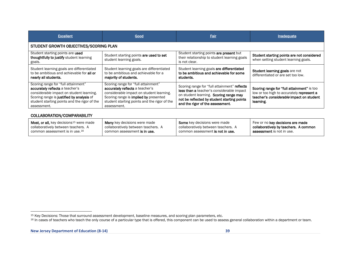<span id="page-38-1"></span><span id="page-38-0"></span>

| <b>Excellent</b>                                                                                                                                                                                                               | Good                                                                                                                                                                                                                       | Fair                                                                                                                                                                                                                   | Inadequate                                                                                                                                              |
|--------------------------------------------------------------------------------------------------------------------------------------------------------------------------------------------------------------------------------|----------------------------------------------------------------------------------------------------------------------------------------------------------------------------------------------------------------------------|------------------------------------------------------------------------------------------------------------------------------------------------------------------------------------------------------------------------|---------------------------------------------------------------------------------------------------------------------------------------------------------|
| STUDENT GROWTH OBJECTIVES/SCORING PLAN                                                                                                                                                                                         |                                                                                                                                                                                                                            |                                                                                                                                                                                                                        |                                                                                                                                                         |
| Student starting points are used<br>thoughtfully to justify student learning<br>goals.                                                                                                                                         | Student starting points are used to set<br>student learning goals.                                                                                                                                                         | Student starting points are present but<br>their relationship to student learning goals<br>is not clear.                                                                                                               | Student starting points are not considered<br>when setting student learning goals.                                                                      |
| Student learning goals are differentiated<br>to be ambitious and achievable for all or<br>nearly all students.                                                                                                                 | Student learning goals are differentiated<br>to be ambitious and achievable for a<br>majority of students.                                                                                                                 | Student learning goals are differentiated<br>to be ambitious and achievable for some<br>students.                                                                                                                      | Student learning goals are not<br>differentiated or are set too low.                                                                                    |
| Scoring range for "full attainment"<br>accurately reflects a teacher's<br>considerable impact on student learning.<br>Scoring range is justified by analysis of<br>student starting points and the rigor of the<br>assessment. | Scoring range for "full attainment"<br>accurately reflects a teacher's<br>considerable impact on student learning.<br>Scoring range is implied by presented<br>student starting points and the rigor of the<br>assessment. | Scoring range for "full attainment" reflects<br>less than a teacher's considerable impact<br>on student learning. Scoring range may<br>not be reflected by student starting points<br>and the rigor of the assessment. | Scoring range for "full attainment" is too<br>low or too high to accurately represent a<br>teacher's <i>considerable</i> impact on student<br>learning. |

#### COLLABORATION/COMPARABILITY

| <b>Most, or all,</b> key decisions <sup>15</sup> were made | <b>Many</b> key decisions were made   | <b>Some</b> key decisions were made     | Few or no key decisions are made      |
|------------------------------------------------------------|---------------------------------------|-----------------------------------------|---------------------------------------|
| collaboratively between teachers. A                        | collaboratively between teachers. A   | collaboratively between teachers. A     | collaboratively by teachers. A common |
| common assessment is in use. <sup>16</sup>                 | common assessment i <b>s in use</b> . | common assessment <b>is not in use.</b> | <b>assessment</b> is not in use.      |

l

<sup>&</sup>lt;sup>15</sup> Key Decisions: Those that surround assessment development, baseline measures, and scoring plan parameters, etc.<br><sup>16</sup> In cases of teachers who teach the only course of a particular type that is offered, this component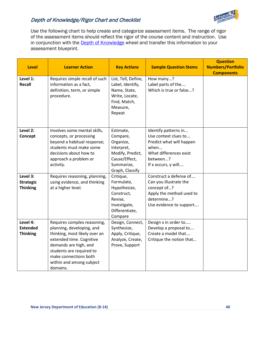

# Depth of Knowledge/Rigor Chart and Checklist

Use the following chart to help create and categorize assessment items. The range of rigor of the assessment items should reflect the rigor of the course content and instruction. Use in conjunction with the **Depth of Knowledge** wheel and transfer this information to your assessment blueprint.

| <b>Level</b>                                    | <b>Learner Action</b>                                                                                                                                                                                                                       | <b>Key Actions</b>                                                                                                     | <b>Sample Question Stems</b>                                                                                                                  | <b>Question</b><br><b>Numbers/Portfolio</b><br><b>Components</b> |
|-------------------------------------------------|---------------------------------------------------------------------------------------------------------------------------------------------------------------------------------------------------------------------------------------------|------------------------------------------------------------------------------------------------------------------------|-----------------------------------------------------------------------------------------------------------------------------------------------|------------------------------------------------------------------|
| Level 1:<br><b>Recall</b>                       | Requires simple recall of such<br>information as a fact,<br>definition, term, or simple<br>procedure.                                                                                                                                       | List, Tell, Define,<br>Label, Identify,<br>Name, State,<br>Write, Locate,<br>Find, Match,<br>Measure,<br>Repeat        | How many?<br>Label parts of the<br>Which is true or false?                                                                                    |                                                                  |
| Level 2:<br>Concept                             | Involves some mental skills,<br>concepts, or processing<br>beyond a habitual response;<br>students must make some<br>decisions about how to<br>approach a problem or<br>activity.                                                           | Estimate,<br>Compare,<br>Organize,<br>Interpret,<br>Modify, Predict,<br>Cause/Effect,<br>Summarize,<br>Graph, Classify | Identify patterns in<br>Use context clues to<br>Predict what will happen<br>when<br>What differences exist<br>between?<br>If x occurs, y will |                                                                  |
| Level 3:<br><b>Strategic</b><br><b>Thinking</b> | Requires reasoning, planning,<br>using evidence, and thinking<br>at a higher level.                                                                                                                                                         | Critique,<br>Formulate,<br>Hypothesize,<br>Construct,<br>Revise,<br>Investigate,<br>Differentiate,<br>Compare          | Construct a defense of<br>Can you illustrate the<br>concept of?<br>Apply the method used to<br>determine?<br>Use evidence to support          |                                                                  |
| Level 4:<br><b>Extended</b><br><b>Thinking</b>  | Requires complex reasoning,<br>planning, developing, and<br>thinking, most likely over an<br>extended time. Cognitive<br>demands are high, and<br>students are required to<br>make connections both<br>within and among subject<br>domains. | Design, Connect,<br>Synthesize,<br>Apply, Critique,<br>Analyze, Create,<br>Prove, Support                              | Design x in order to<br>Develop a proposal to<br>Create a model that<br>Critique the notion that                                              |                                                                  |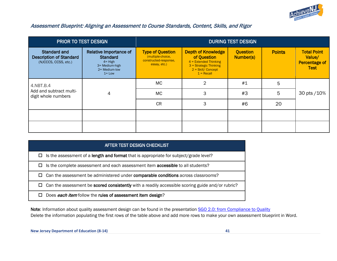

## Assessment Blueprint: Aligning an Assessment to Course Standards, Content, Skills, and Rigor

| <b>PRIOR TO TEST DESIGN</b>                                                   |                                                                                                             | <b>DURING TEST DESIGN</b>                                                             |                                                                                                                                       |                              |               |                                                                     |
|-------------------------------------------------------------------------------|-------------------------------------------------------------------------------------------------------------|---------------------------------------------------------------------------------------|---------------------------------------------------------------------------------------------------------------------------------------|------------------------------|---------------|---------------------------------------------------------------------|
| <b>Standard and</b><br><b>Description of Standard</b><br>(NJCCCS, CCSS, etc.) | Relative Importance of<br><b>Standard</b><br>$4 =$ High<br>3 = Medium-high<br>$2$ = Medium-low<br>$1 = Low$ | <b>Type of Question</b><br>(multiple-choice,<br>constructed-response,<br>essay, etc.) | <b>Depth of Knowledge</b><br>of Question<br>$4$ = Extended Thinking<br>3 = Strategic Thinking<br>$2 =$ Skill/ Concept<br>$1 = Recall$ | <b>Question</b><br>Number(s) | <b>Points</b> | <b>Total Point</b><br>Value/<br><b>Percentage of</b><br><b>Test</b> |
| 4.NBT.B.4<br>Add and subtract multi-<br>digit whole numbers                   | 4                                                                                                           | <b>MC</b>                                                                             | 2                                                                                                                                     | #1                           | 5             |                                                                     |
|                                                                               |                                                                                                             | <b>MC</b>                                                                             | 3                                                                                                                                     | #3                           | 5             | 30 pts / 10%                                                        |
|                                                                               |                                                                                                             | <b>CR</b>                                                                             | 3                                                                                                                                     | #6                           | 20            |                                                                     |
|                                                                               |                                                                                                             |                                                                                       |                                                                                                                                       |                              |               |                                                                     |
|                                                                               |                                                                                                             |                                                                                       |                                                                                                                                       |                              |               |                                                                     |

## AFTER TEST DESIGN CHECKLIST

- $\Box$  Is the assessment of a length and format that is appropriate for subject/grade level?
- $\Box$  Is the complete assessment and each assessment item **accessible** to all students?
- $\Box$  Can the assessment be administered under **comparable conditions** across classrooms?
- $\Box$  Can the assessment be **scored consistently** with a readily accessible scoring guide and/or rubric?
- $\Box$  Does each item follow the rules of assessment item design?

Note: Information about quality assessment design can be found in the presentation [SGO 2.0: from Compliance to Quality](http://www.state.nj.us/education/AchieveNJ/teacher/SGO20FromCompliancetoQuality.pdf) Delete the information populating the first rows of the table above and add more rows to make your own assessment blueprint in Word.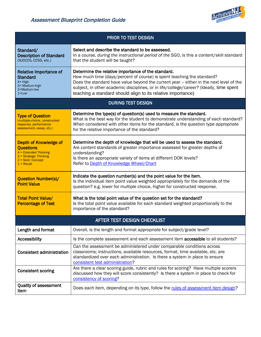

| <b>PRIOR TO TEST DESIGN</b>                                                                                                                   |                                                                                                                                                                                                                                                                                                                                                                                   |  |  |  |
|-----------------------------------------------------------------------------------------------------------------------------------------------|-----------------------------------------------------------------------------------------------------------------------------------------------------------------------------------------------------------------------------------------------------------------------------------------------------------------------------------------------------------------------------------|--|--|--|
| Standard/<br><b>Description of Standard</b><br>(NJCCCS, CCSS, etc.)                                                                           | Select and describe the standard to be assessed.<br>In a course, during the instructional period of the SGO, is this a content/skill standard<br>that the student will be taught?                                                                                                                                                                                                 |  |  |  |
| Relative Importance of<br><b>Standard</b><br>$4 =$ High<br>3= Medium-high<br>2=Medium-low<br>$1 = Low$                                        | Determine the relative importance of the standard.<br>How much time (days/percent of course) is spent teaching the standard?<br>Does the standard have value beyond the current year - either in the next level of the<br>subject, in other academic disciplines, or in life/college/career? (Ideally, time spent<br>teaching a standard should align to its relative importance) |  |  |  |
|                                                                                                                                               | <b>DURING TEST DESIGN</b>                                                                                                                                                                                                                                                                                                                                                         |  |  |  |
| <b>Type of Question</b><br>(multiple-choice, constructed-<br>response, performance<br>assessment, essay, etc.)                                | Determine the type(s) of question(s) used to measure the standard.<br>What is the best way for the student to demonstrate understanding of each standard?<br>When considered with other items for the standard, is the question type appropriate<br>for the relative importance of the standard?                                                                                  |  |  |  |
| <b>Depth of Knowledge of</b><br><b>Questions</b><br>$4$ = Extended Thinking<br>3 = Strategic Thinking<br>$2 =$ Skill/ Concept<br>$1 = Recall$ | Determine the depth of knowledge that will be used to assess the standard.<br>Are content standards of greater importance assessed for greater depths of<br>understanding?<br>Is there an appropriate variety of items at different DOK levels?<br>Refer to Depth of Knowledge Wheel/Chart                                                                                        |  |  |  |
| <b>Question Number(s)/</b><br><b>Point Value</b>                                                                                              | Indicate the question number(s) and the point value for the item.<br>Is the individual item point value weighted appropriately for the demands of the<br>question? e.g. lower for multiple choice, higher for constructed response.                                                                                                                                               |  |  |  |
| <b>Total Point Value/</b><br><b>Percentage of Test</b>                                                                                        | What is the total point value of the question set for the standard?<br>Is the total point value available for each standard weighted proportionally to the<br>importance of the standard?                                                                                                                                                                                         |  |  |  |
|                                                                                                                                               | <b>AFTER TEST DESIGN CHECKLIST</b>                                                                                                                                                                                                                                                                                                                                                |  |  |  |
| Length and format                                                                                                                             | Overall, is the length and format appropriate for subject/grade level?                                                                                                                                                                                                                                                                                                            |  |  |  |
| <b>Accessibility</b>                                                                                                                          | Is the complete assessment and each assessment item <b>accessible</b> to all students?                                                                                                                                                                                                                                                                                            |  |  |  |
| <b>Consistent administration</b>                                                                                                              | Can the assessment be administered under comparable conditions across<br>classrooms; instructions, available resources, format, time available, etc. are<br>standardized over each administration. Is there a system in place to ensure<br>consistent test administration?                                                                                                        |  |  |  |
| <b>Consistent scoring</b>                                                                                                                     | Are there a clear scoring guide, rubric and rules for scoring? Have multiple scorers<br>discussed how they will score consistently? Is there a system in place to check for<br>consistency of scoring?                                                                                                                                                                            |  |  |  |
| <b>Quality of assessment</b><br>item                                                                                                          | Does each item, depending on its type, follow the rules of assessment item design?                                                                                                                                                                                                                                                                                                |  |  |  |